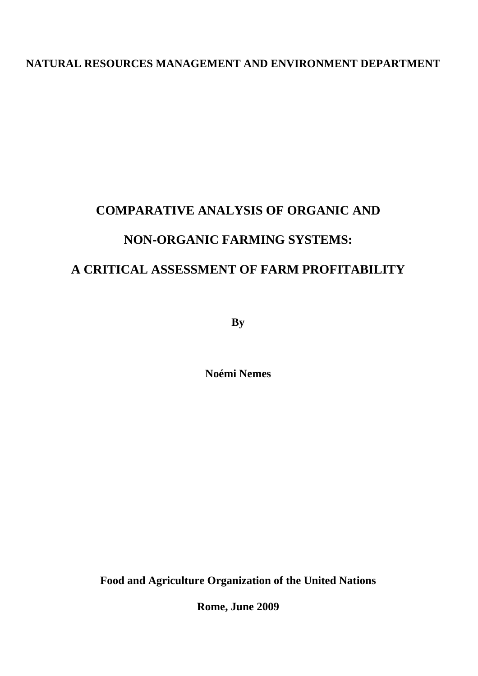# **NATURAL RESOURCES MANAGEMENT AND ENVIRONMENT DEPARTMENT**

# **COMPARATIVE ANALYSIS OF ORGANIC AND NON-ORGANIC FARMING SYSTEMS: A CRITICAL ASSESSMENT OF FARM PROFITABILITY**

**By** 

**Noémi Nemes** 

**Food and Agriculture Organization of the United Nations** 

**Rome, June 2009**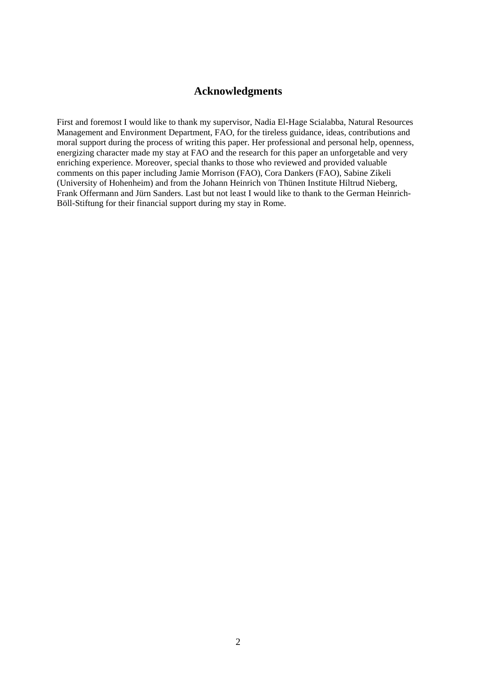# **Acknowledgments**

First and foremost I would like to thank my supervisor, Nadia El-Hage Scialabba, Natural Resources Management and Environment Department, FAO, for the tireless guidance, ideas, contributions and moral support during the process of writing this paper. Her professional and personal help, openness, energizing character made my stay at FAO and the research for this paper an unforgetable and very enriching experience. Moreover, special thanks to those who reviewed and provided valuable comments on this paper including Jamie Morrison (FAO), Cora Dankers (FAO), Sabine Zikeli (University of Hohenheim) and from the Johann Heinrich von Thünen Institute Hiltrud Nieberg, Frank Offermann and Jürn Sanders. Last but not least I would like to thank to the German Heinrich-Böll-Stiftung for their financial support during my stay in Rome.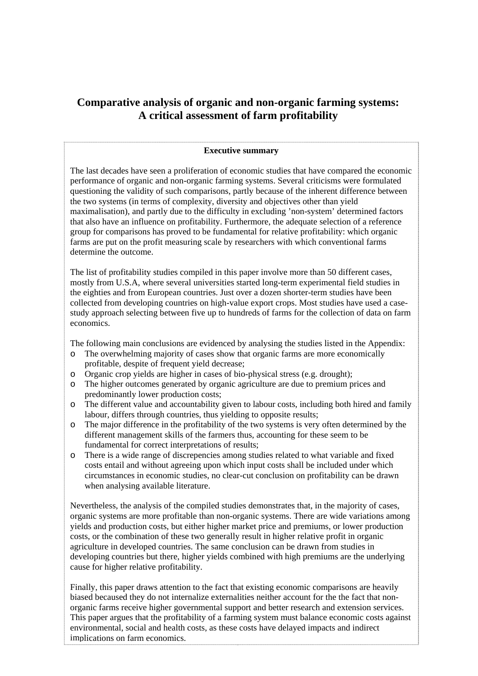# **Comparative analysis of organic and non-organic farming systems: A critical assessment of farm profitability**

# **Executive summary**

The last decades have seen a proliferation of economic studies that have compared the economic performance of organic and non-organic farming systems. Several criticisms were formulated questioning the validity of such comparisons, partly because of the inherent difference between the two systems (in terms of complexity, diversity and objectives other than yield maximalisation), and partly due to the difficulty in excluding 'non-system' determined factors that also have an influence on profitability. Furthermore, the adequate selection of a reference group for comparisons has proved to be fundamental for relative profitability: which organic farms are put on the profit measuring scale by researchers with which conventional farms determine the outcome.

The list of profitability studies compiled in this paper involve more than 50 different cases, mostly from U.S.A, where several universities started long-term experimental field studies in the eighties and from European countries. Just over a dozen shorter-term studies have been collected from developing countries on high-value export crops. Most studies have used a casestudy approach selecting between five up to hundreds of farms for the collection of data on farm economics.

The following main conclusions are evidenced by analysing the studies listed in the Appendix:

- o The overwhelming majority of cases show that organic farms are more economically profitable, despite of frequent yield decrease;
- o Organic crop yields are higher in cases of bio-physical stress (e.g. drought);
- o The higher outcomes generated by organic agriculture are due to premium prices and predominantly lower production costs;
- o The different value and accountability given to labour costs, including both hired and family labour, differs through countries, thus yielding to opposite results;
- o The major difference in the profitability of the two systems is very often determined by the different management skills of the farmers thus, accounting for these seem to be fundamental for correct interpretations of results;
- o There is a wide range of discrepencies among studies related to what variable and fixed costs entail and without agreeing upon which input costs shall be included under which circumstances in economic studies, no clear-cut conclusion on profitability can be drawn when analysing available literature.

Nevertheless, the analysis of the compiled studies demonstrates that, in the majority of cases, organic systems are more profitable than non-organic systems. There are wide variations among yields and production costs, but either higher market price and premiums, or lower production costs, or the combination of these two generally result in higher relative profit in organic agriculture in developed countries. The same conclusion can be drawn from studies in developing countries but there, higher yields combined with high premiums are the underlying cause for higher relative profitability.

.<br>... Finally, this paper draws attention to the fact that existing economic comparisons are heavily biased becaused they do not internalize externalities neither account for the the fact that nonorganic farms receive higher governmental support and better research and extension services. This paper argues that the profitability of a farming system must balance economic costs against environmental, social and health costs, as these costs have delayed impacts and indirect implications on farm economics.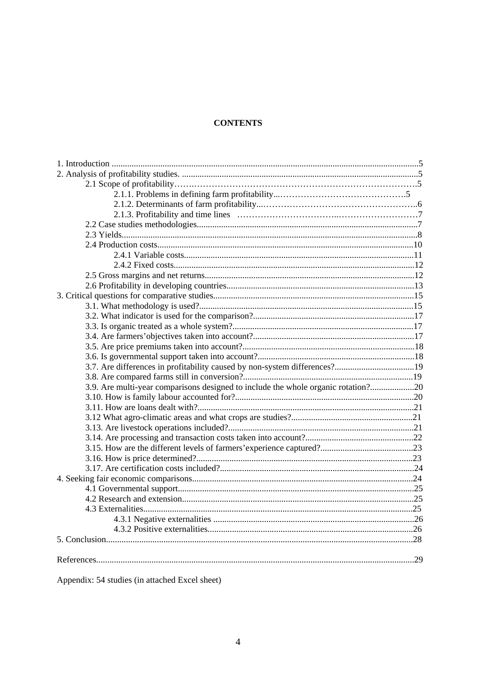# **CONTENTS**

| 3.9. Are multi-year comparisons designed to include the whole organic rotation?20 |  |
|-----------------------------------------------------------------------------------|--|
|                                                                                   |  |
|                                                                                   |  |
|                                                                                   |  |
|                                                                                   |  |
|                                                                                   |  |
|                                                                                   |  |
|                                                                                   |  |
|                                                                                   |  |
|                                                                                   |  |
|                                                                                   |  |
|                                                                                   |  |
|                                                                                   |  |
|                                                                                   |  |
|                                                                                   |  |
|                                                                                   |  |
|                                                                                   |  |
|                                                                                   |  |
|                                                                                   |  |

Appendix: 54 studies (in attached Excel sheet)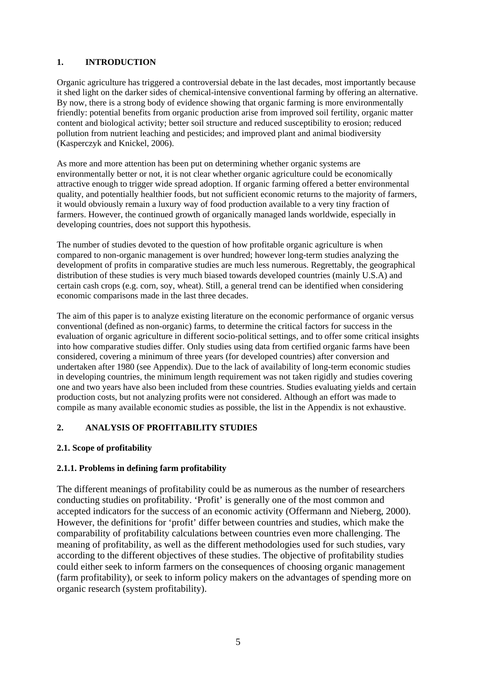# **1. INTRODUCTION**

Organic agriculture has triggered a controversial debate in the last decades, most importantly because it shed light on the darker sides of chemical-intensive conventional farming by offering an alternative. By now, there is a strong body of evidence showing that organic farming is more environmentally friendly: potential benefits from organic production arise from improved soil fertility, organic matter content and biological activity; better soil structure and reduced susceptibility to erosion; reduced pollution from nutrient leaching and pesticides; and improved plant and animal biodiversity (Kasperczyk and Knickel, 2006).

As more and more attention has been put on determining whether organic systems are environmentally better or not, it is not clear whether organic agriculture could be economically attractive enough to trigger wide spread adoption. If organic farming offered a better environmental quality, and potentially healthier foods, but not sufficient economic returns to the majority of farmers, it would obviously remain a luxury way of food production available to a very tiny fraction of farmers. However, the continued growth of organically managed lands worldwide, especially in developing countries, does not support this hypothesis.

The number of studies devoted to the question of how profitable organic agriculture is when compared to non-organic management is over hundred; however long-term studies analyzing the development of profits in comparative studies are much less numerous. Regrettably, the geographical distribution of these studies is very much biased towards developed countries (mainly U.S.A) and certain cash crops (e.g. corn, soy, wheat). Still, a general trend can be identified when considering economic comparisons made in the last three decades.

The aim of this paper is to analyze existing literature on the economic performance of organic versus conventional (defined as non-organic) farms, to determine the critical factors for success in the evaluation of organic agriculture in different socio-political settings, and to offer some critical insights into how comparative studies differ. Only studies using data from certified organic farms have been considered, covering a minimum of three years (for developed countries) after conversion and undertaken after 1980 (see Appendix). Due to the lack of availability of long-term economic studies in developing countries, the minimum length requirement was not taken rigidly and studies covering one and two years have also been included from these countries. Studies evaluating yields and certain production costs, but not analyzing profits were not considered. Although an effort was made to compile as many available economic studies as possible, the list in the Appendix is not exhaustive.

# **2. ANALYSIS OF PROFITABILITY STUDIES**

# **2.1. Scope of profitability**

# **2.1.1. Problems in defining farm profitability**

The different meanings of profitability could be as numerous as the number of researchers conducting studies on profitability. 'Profit' is generally one of the most common and accepted indicators for the success of an economic activity (Offermann and Nieberg, 2000). However, the definitions for 'profit' differ between countries and studies, which make the comparability of profitability calculations between countries even more challenging. The meaning of profitability, as well as the different methodologies used for such studies, vary according to the different objectives of these studies. The objective of profitability studies could either seek to inform farmers on the consequences of choosing organic management (farm profitability), or seek to inform policy makers on the advantages of spending more on organic research (system profitability).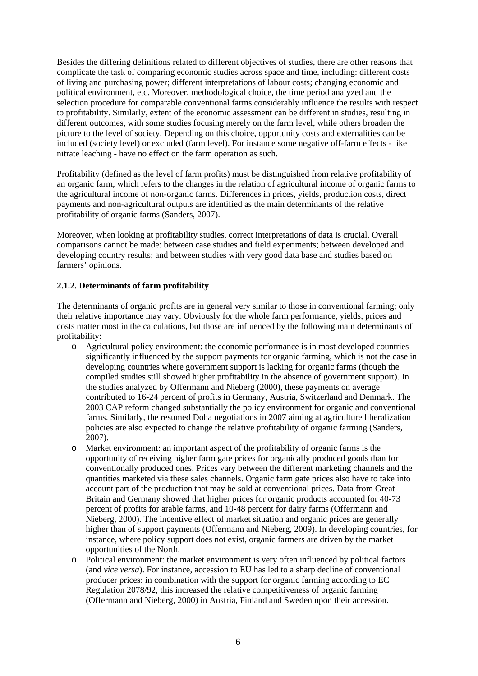Besides the differing definitions related to different objectives of studies, there are other reasons that complicate the task of comparing economic studies across space and time, including: different costs of living and purchasing power; different interpretations of labour costs; changing economic and political environment, etc. Moreover, methodological choice, the time period analyzed and the selection procedure for comparable conventional farms considerably influence the results with respect to profitability. Similarly, extent of the economic assessment can be different in studies, resulting in different outcomes, with some studies focusing merely on the farm level, while others broaden the picture to the level of society. Depending on this choice, opportunity costs and externalities can be included (society level) or excluded (farm level). For instance some negative off-farm effects - like nitrate leaching - have no effect on the farm operation as such.

Profitability (defined as the level of farm profits) must be distinguished from relative profitability of an organic farm, which refers to the changes in the relation of agricultural income of organic farms to the agricultural income of non-organic farms. Differences in prices, yields, production costs, direct payments and non-agricultural outputs are identified as the main determinants of the relative profitability of organic farms (Sanders, 2007).

Moreover, when looking at profitability studies, correct interpretations of data is crucial. Overall comparisons cannot be made: between case studies and field experiments; between developed and developing country results; and between studies with very good data base and studies based on farmers' opinions.

#### **2.1.2. Determinants of farm profitability**

The determinants of organic profits are in general very similar to those in conventional farming; only their relative importance may vary. Obviously for the whole farm performance, yields, prices and costs matter most in the calculations, but those are influenced by the following main determinants of profitability:

- o Agricultural policy environment: the economic performance is in most developed countries significantly influenced by the support payments for organic farming, which is not the case in developing countries where government support is lacking for organic farms (though the compiled studies still showed higher profitability in the absence of government support). In the studies analyzed by Offermann and Nieberg (2000), these payments on average contributed to 16-24 percent of profits in Germany, Austria, Switzerland and Denmark. The 2003 CAP reform changed substantially the policy environment for organic and conventional farms. Similarly, the resumed Doha negotiations in 2007 aiming at agriculture liberalization policies are also expected to change the relative profitability of organic farming (Sanders, 2007).
- o Market environment: an important aspect of the profitability of organic farms is the opportunity of receiving higher farm gate prices for organically produced goods than for conventionally produced ones. Prices vary between the different marketing channels and the quantities marketed via these sales channels. Organic farm gate prices also have to take into account part of the production that may be sold at conventional prices. Data from Great Britain and Germany showed that higher prices for organic products accounted for 40-73 percent of profits for arable farms, and 10-48 percent for dairy farms (Offermann and Nieberg, 2000). The incentive effect of market situation and organic prices are generally higher than of support payments (Offermann and Nieberg, 2009). In developing countries, for instance, where policy support does not exist, organic farmers are driven by the market opportunities of the North.
- o Political environment: the market environment is very often influenced by political factors (and *vice versa*). For instance, accession to EU has led to a sharp decline of conventional producer prices: in combination with the support for organic farming according to EC Regulation 2078/92, this increased the relative competitiveness of organic farming (Offermann and Nieberg, 2000) in Austria, Finland and Sweden upon their accession.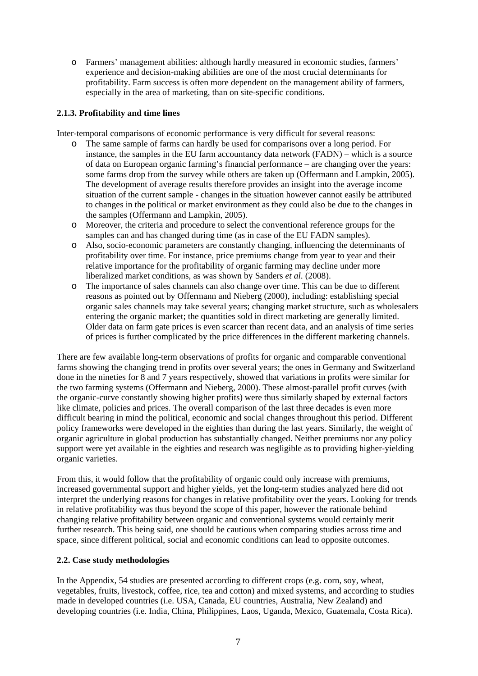o Farmers' management abilities: although hardly measured in economic studies, farmers' experience and decision-making abilities are one of the most crucial determinants for profitability. Farm success is often more dependent on the management ability of farmers, especially in the area of marketing, than on site-specific conditions.

# **2.1.3. Profitability and time lines**

Inter-temporal comparisons of economic performance is very difficult for several reasons:

- o The same sample of farms can hardly be used for comparisons over a long period. For instance, the samples in the EU farm accountancy data network (FADN) – which is a source of data on European organic farming's financial performance – are changing over the years: some farms drop from the survey while others are taken up (Offermann and Lampkin, 2005). The development of average results therefore provides an insight into the average income situation of the current sample - changes in the situation however cannot easily be attributed to changes in the political or market environment as they could also be due to the changes in the samples (Offermann and Lampkin, 2005).
- o Moreover, the criteria and procedure to select the conventional reference groups for the samples can and has changed during time (as in case of the EU FADN samples).
- o Also, socio-economic parameters are constantly changing, influencing the determinants of profitability over time. For instance, price premiums change from year to year and their relative importance for the profitability of organic farming may decline under more liberalized market conditions, as was shown by Sanders *et al*. (2008).
- o The importance of sales channels can also change over time. This can be due to different reasons as pointed out by Offermann and Nieberg (2000), including: establishing special organic sales channels may take several years; changing market structure, such as wholesalers entering the organic market; the quantities sold in direct marketing are generally limited. Older data on farm gate prices is even scarcer than recent data, and an analysis of time series of prices is further complicated by the price differences in the different marketing channels.

There are few available long-term observations of profits for organic and comparable conventional farms showing the changing trend in profits over several years; the ones in Germany and Switzerland done in the nineties for 8 and 7 years respectively, showed that variations in profits were similar for the two farming systems (Offermann and Nieberg, 2000). These almost-parallel profit curves (with the organic-curve constantly showing higher profits) were thus similarly shaped by external factors like climate, policies and prices. The overall comparison of the last three decades is even more difficult bearing in mind the political, economic and social changes throughout this period. Different policy frameworks were developed in the eighties than during the last years. Similarly, the weight of organic agriculture in global production has substantially changed. Neither premiums nor any policy support were yet available in the eighties and research was negligible as to providing higher-yielding organic varieties.

From this, it would follow that the profitability of organic could only increase with premiums, increased governmental support and higher yields, yet the long-term studies analyzed here did not interpret the underlying reasons for changes in relative profitability over the years. Looking for trends in relative profitability was thus beyond the scope of this paper, however the rationale behind changing relative profitability between organic and conventional systems would certainly merit further research. This being said, one should be cautious when comparing studies across time and space, since different political, social and economic conditions can lead to opposite outcomes.

#### **2.2. Case study methodologies**

In the Appendix, 54 studies are presented according to different crops (e.g. corn, soy, wheat, vegetables, fruits, livestock, coffee, rice, tea and cotton) and mixed systems, and according to studies made in developed countries (i.e. USA, Canada, EU countries, Australia, New Zealand) and developing countries (i.e. India, China, Philippines, Laos, Uganda, Mexico, Guatemala, Costa Rica).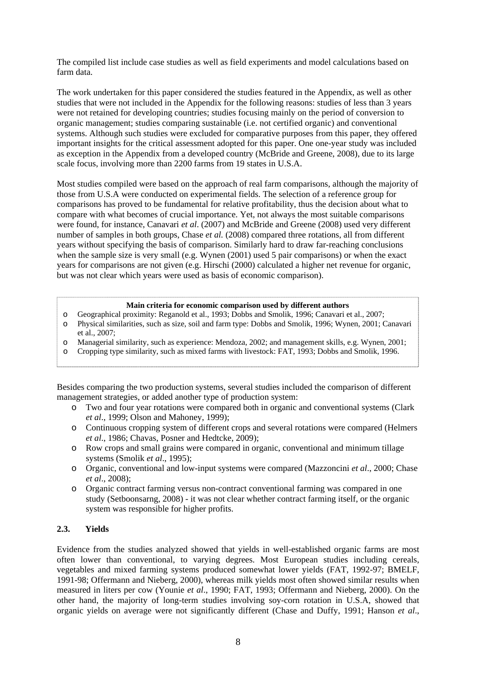The compiled list include case studies as well as field experiments and model calculations based on farm data.

The work undertaken for this paper considered the studies featured in the Appendix, as well as other studies that were not included in the Appendix for the following reasons: studies of less than 3 years were not retained for developing countries; studies focusing mainly on the period of conversion to organic management; studies comparing sustainable (i.e. not certified organic) and conventional systems. Although such studies were excluded for comparative purposes from this paper, they offered important insights for the critical assessment adopted for this paper. One one-year study was included as exception in the Appendix from a developed country (McBride and Greene, 2008), due to its large scale focus, involving more than 2200 farms from 19 states in U.S.A.

Most studies compiled were based on the approach of real farm comparisons, although the majority of those from U.S.A were conducted on experimental fields. The selection of a reference group for comparisons has proved to be fundamental for relative profitability, thus the decision about what to compare with what becomes of crucial importance. Yet, not always the most suitable comparisons were found, for instance, Canavari *et al.* (2007) and McBride and Greene (2008) used very different number of samples in both groups, Chase *et al.* (2008) compared three rotations, all from different years without specifying the basis of comparison. Similarly hard to draw far-reaching conclusions when the sample size is very small (e.g. Wynen (2001) used 5 pair comparisons) or when the exact years for comparisons are not given (e.g. Hirschi (2000) calculated a higher net revenue for organic, but was not clear which years were used as basis of economic comparison).

#### **Main criteria for economic comparison used by different authors**

- o Geographical proximity: Reganold et al., 1993; Dobbs and Smolik, 1996; Canavari et al., 2007;
- o Physical similarities, such as size, soil and farm type: Dobbs and Smolik, 1996; Wynen, 2001; Canavari et al., 2007;
- o Managerial similarity, such as experience: Mendoza, 2002; and management skills, e.g. Wynen, 2001;
- o Cropping type similarity, such as mixed farms with livestock: FAT, 1993; Dobbs and Smolik, 1996.

Besides comparing the two production systems, several studies included the comparison of different management strategies, or added another type of production system:

- o Two and four year rotations were compared both in organic and conventional systems (Clark *et al*., 1999; Olson and Mahoney, 1999);
- o Continuous cropping system of different crops and several rotations were compared (Helmers *et al*., 1986; Chavas, Posner and Hedtcke, 2009);
- o Row crops and small grains were compared in organic, conventional and minimum tillage systems (Smolik *et al*., 1995);
- o Organic, conventional and low-input systems were compared (Mazzoncini *et al*., 2000; Chase *et al*., 2008);
- o Organic contract farming versus non-contract conventional farming was compared in one study (Setboonsarng, 2008) - it was not clear whether contract farming itself, or the organic system was responsible for higher profits.

#### **2.3. Yields**

Evidence from the studies analyzed showed that yields in well-established organic farms are most often lower than conventional, to varying degrees. Most European studies including cereals, vegetables and mixed farming systems produced somewhat lower yields (FAT, 1992-97; BMELF, 1991-98; Offermann and Nieberg, 2000), whereas milk yields most often showed similar results when measured in liters per cow (Younie *et al*., 1990; FAT, 1993; Offermann and Nieberg, 2000). On the other hand, the majority of long-term studies involving soy-corn rotation in U.S.A, showed that organic yields on average were not significantly different (Chase and Duffy, 1991; Hanson *et al*.,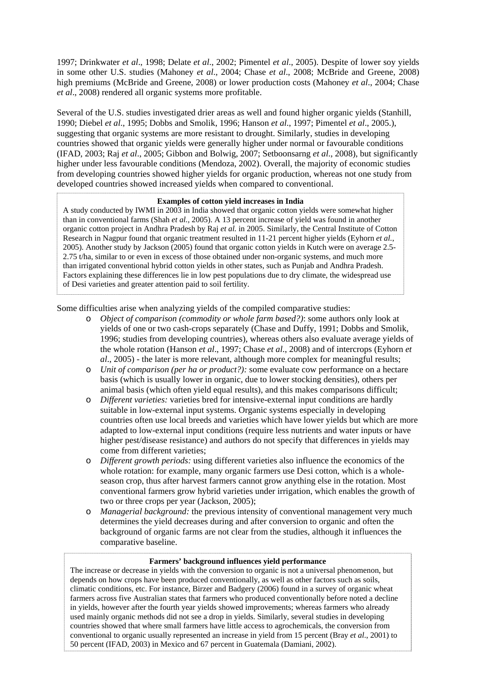1997; Drinkwater *et al*., 1998; Delate *et al*., 2002; Pimentel *et al*., 2005). Despite of lower soy yields in some other U.S. studies (Mahoney *et al*., 2004; Chase *et al*., 2008; McBride and Greene, 2008) high premiums (McBride and Greene, 2008) or lower production costs (Mahoney *et al*., 2004; Chase *et al*., 2008) rendered all organic systems more profitable.

Several of the U.S. studies investigated drier areas as well and found higher organic yields (Stanhill, 1990; Diebel *et al*., 1995; Dobbs and Smolik, 1996; Hanson *et al*., 1997; Pimentel *et al*., 2005.), suggesting that organic systems are more resistant to drought. Similarly, studies in developing countries showed that organic yields were generally higher under normal or favourable conditions (IFAD, 2003; Raj *et al*., 2005; Gibbon and Bolwig, 2007; Setboonsarng *et al*., 2008), but significantly higher under less favourable conditions (Mendoza, 2002). Overall, the majority of economic studies from developing countries showed higher yields for organic production, whereas not one study from developed countries showed increased yields when compared to conventional.

#### **Examples of cotton yield increases in India**

A study conducted by IWMI in 2003 in India showed that organic cotton yields were somewhat higher than in conventional farms (Shah *et al.,* 2005). A 13 percent increase of yield was found in another organic cotton project in Andhra Pradesh by Raj *et al.* in 2005. Similarly, the Central Institute of Cotton Research in Nagpur found that organic treatment resulted in 11-21 percent higher yields (Eyhorn *et al.*, 2005). Another study by Jackson (2005) found that organic cotton yields in Kutch were on average 2.5- 2.75 t/ha, similar to or even in excess of those obtained under non-organic systems, and much more than irrigated conventional hybrid cotton yields in other states, such as Punjab and Andhra Pradesh. Factors explaining these differences lie in low pest populations due to dry climate, the widespread use of Desi varieties and greater attention paid to soil fertility.

Some difficulties arise when analyzing yields of the compiled comparative studies:

- o *Object of comparison (commodity or whole farm based?)*: some authors only look at yields of one or two cash-crops separately (Chase and Duffy, 1991; Dobbs and Smolik, 1996; studies from developing countries), whereas others also evaluate average yields of the whole rotation (Hanson *et al*., 1997; Chase *et al*., 2008) and of intercrops (Eyhorn *et al*., 2005) - the later is more relevant, although more complex for meaningful results;
- o *Unit of comparison (per ha or product?):* some evaluate cow performance on a hectare basis (which is usually lower in organic, due to lower stocking densities), others per animal basis (which often yield equal results), and this makes comparisons difficult;
- o *Different varieties:* varieties bred for intensive-external input conditions are hardly suitable in low-external input systems. Organic systems especially in developing countries often use local breeds and varieties which have lower yields but which are more adapted to low-external input conditions (require less nutrients and water inputs or have higher pest/disease resistance) and authors do not specify that differences in yields may come from different varieties;
- o *Different growth periods:* using different varieties also influence the economics of the whole rotation: for example, many organic farmers use Desi cotton, which is a wholeseason crop, thus after harvest farmers cannot grow anything else in the rotation. Most conventional farmers grow hybrid varieties under irrigation, which enables the growth of two or three crops per year (Jackson, 2005);
- o *Managerial background:* the previous intensity of conventional management very much determines the yield decreases during and after conversion to organic and often the background of organic farms are not clear from the studies, although it influences the comparative baseline.

#### **Farmers' background influences yield performance**

9 50 percent (IFAD, 2003) in Mexico and 67 percent in Guatemala (Damiani, 2002).The increase or decrease in yields with the conversion to organic is not a universal phenomenon, but depends on how crops have been produced conventionally, as well as other factors such as soils, climatic conditions, etc. For instance, Birzer and Badgery (2006) found in a survey of organic wheat farmers across five Australian states that farmers who produced conventionally before noted a decline in yields, however after the fourth year yields showed improvements; whereas farmers who already used mainly organic methods did not see a drop in yields. Similarly, several studies in developing countries showed that where small farmers have little access to agrochemicals, the conversion from conventional to organic usually represented an increase in yield from 15 percent (Bray *et al*., 2001) to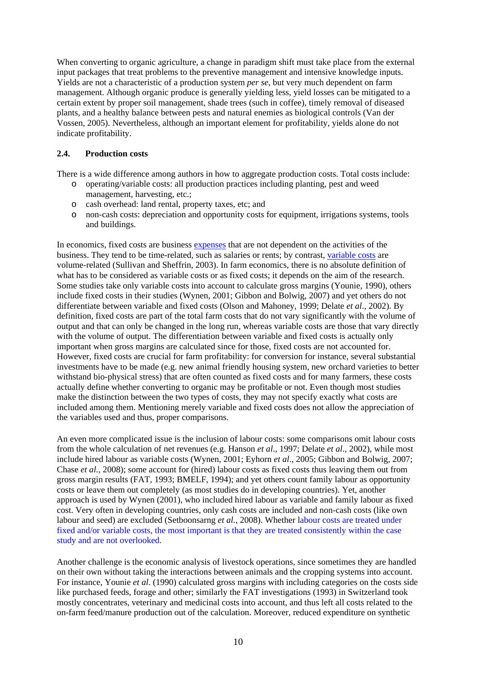When converting to organic agriculture, a change in paradigm shift must take place from the external input packages that treat problems to the preventive management and intensive knowledge inputs. Yields are not a characteristic of a production system *per se*, but very much dependent on farm management. Although organic produce is generally yielding less, yield losses can be mitigated to a certain extent by proper soil management, shade trees (such in coffee), timely removal of diseased plants, and a healthy balance between pests and natural enemies as biological controls (Van der Vossen, 2005). Nevertheless, although an important element for profitability, yields alone do not indicate profitability.

#### **2.4. Production costs**

There is a wide difference among authors in how to aggregate production costs. Total costs include:

- o operating/variable costs: all production practices including planting, pest and weed management, harvesting, etc.;
- o cash overhead: land rental, property taxes, etc; and
- o non-cash costs: depreciation and opportunity costs for equipment, irrigations systems, tools and buildings.

In economics, fixed costs are business [expenses](http://en.wikipedia.org/wiki/Expenses) that are not dependent on the activities of the business. They tend to be time-related, such as salaries or rents; by contrast, [variable costs](http://en.wikipedia.org/wiki/Variable_costs) are volume-related (Sullivan and Sheffrin, 2003). In farm economics, there is no absolute definition of what has to be considered as variable costs or as fixed costs; it depends on the aim of the research. Some studies take only variable costs into account to calculate gross margins (Younie, 1990), others include fixed costs in their studies (Wynen, 2001; Gibbon and Bolwig, 2007) and yet others do not differentiate between variable and fixed costs (Olson and Mahoney, 1999; Delate *et al*., 2002). By definition, fixed costs are part of the total farm costs that do not vary significantly with the volume of output and that can only be changed in the long run, whereas variable costs are those that vary directly with the volume of output. The differentiation between variable and fixed costs is actually only important when gross margins are calculated since for those, fixed costs are not accounted for. However, fixed costs are crucial for farm profitability: for conversion for instance, several substantial investments have to be made (e.g. new animal friendly housing system, new orchard varieties to better withstand bio-physical stress) that are often counted as fixed costs and for many farmers, these costs actually define whether converting to organic may be profitable or not. Even though most studies make the distinction between the two types of costs, they may not specify exactly what costs are included among them. Mentioning merely variable and fixed costs does not allow the appreciation of the variables used and thus, proper comparisons.

An even more complicated issue is the inclusion of labour costs: some comparisons omit labour costs from the whole calculation of net revenues (e.g. Hanson *et al*., 1997; Delate *et al*., 2002), while most include hired labour as variable costs (Wynen, 2001; Eyhorn *et al*., 2005; Gibbon and Bolwig, 2007; Chase *et al.,* 2008); some account for (hired) labour costs as fixed costs thus leaving them out from gross margin results (FAT, 1993; BMELF, 1994); and yet others count family labour as opportunity costs or leave them out completely (as most studies do in developing countries). Yet, another approach is used by Wynen (2001), who included hired labour as variable and family labour as fixed cost. Very often in developing countries, only cash costs are included and non-cash costs (like own labour and seed) are excluded (Setboonsarng *et al.*, 2008). Whether labour costs are treated under fixed and/or variable costs, the most important is that they are treated consistently within the case study and are not overlooked.

Another challenge is the economic analysis of livestock operations, since sometimes they are handled on their own without taking the interactions between animals and the cropping systems into account. For instance, Younie *et al*. (1990) calculated gross margins with including categories on the costs side like purchased feeds, forage and other; similarly the FAT investigations (1993) in Switzerland took mostly concentrates, veterinary and medicinal costs into account, and thus left all costs related to the on-farm feed/manure production out of the calculation. Moreover, reduced expenditure on synthetic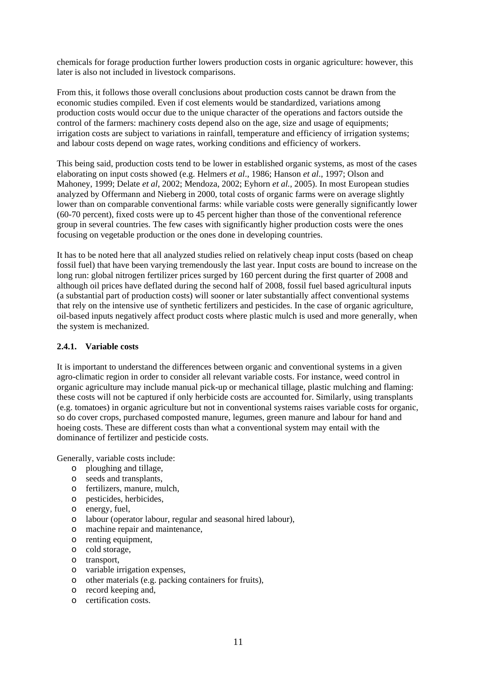chemicals for forage production further lowers production costs in organic agriculture: however, this later is also not included in livestock comparisons.

From this, it follows those overall conclusions about production costs cannot be drawn from the economic studies compiled. Even if cost elements would be standardized, variations among production costs would occur due to the unique character of the operations and factors outside the control of the farmers: machinery costs depend also on the age, size and usage of equipments; irrigation costs are subject to variations in rainfall, temperature and efficiency of irrigation systems; and labour costs depend on wage rates, working conditions and efficiency of workers.

This being said, production costs tend to be lower in established organic systems, as most of the cases elaborating on input costs showed (e.g. Helmers *et al*., 1986; Hanson *et al*., 1997; Olson and Mahoney, 1999; Delate *et al*, 2002; Mendoza, 2002; Eyhorn *et al.,* 2005). In most European studies analyzed by Offermann and Nieberg in 2000, total costs of organic farms were on average slightly lower than on comparable conventional farms: while variable costs were generally significantly lower (60-70 percent), fixed costs were up to 45 percent higher than those of the conventional reference group in several countries. The few cases with significantly higher production costs were the ones focusing on vegetable production or the ones done in developing countries.

It has to be noted here that all analyzed studies relied on relatively cheap input costs (based on cheap fossil fuel) that have been varying tremendously the last year. Input costs are bound to increase on the long run: global nitrogen fertilizer prices surged by 160 percent during the first quarter of 2008 and although oil prices have deflated during the second half of 2008, fossil fuel based agricultural inputs (a substantial part of production costs) will sooner or later substantially affect conventional systems that rely on the intensive use of synthetic fertilizers and pesticides. In the case of organic agriculture, oil-based inputs negatively affect product costs where plastic mulch is used and more generally, when the system is mechanized.

#### **2.4.1. Variable costs**

It is important to understand the differences between organic and conventional systems in a given agro-climatic region in order to consider all relevant variable costs. For instance, weed control in organic agriculture may include manual pick-up or mechanical tillage, plastic mulching and flaming: these costs will not be captured if only herbicide costs are accounted for. Similarly, using transplants (e.g. tomatoes) in organic agriculture but not in conventional systems raises variable costs for organic, so do cover crops, purchased composted manure, legumes, green manure and labour for hand and hoeing costs. These are different costs than what a conventional system may entail with the dominance of fertilizer and pesticide costs.

Generally, variable costs include:

- o ploughing and tillage,
- o seeds and transplants,
- o fertilizers, manure, mulch,
- o pesticides, herbicides,
- o energy, fuel,
- o labour (operator labour, regular and seasonal hired labour),
- o machine repair and maintenance,
- o renting equipment,
- o cold storage,
- o transport,
- o variable irrigation expenses,
- o other materials (e.g. packing containers for fruits),
- o record keeping and,
- o certification costs.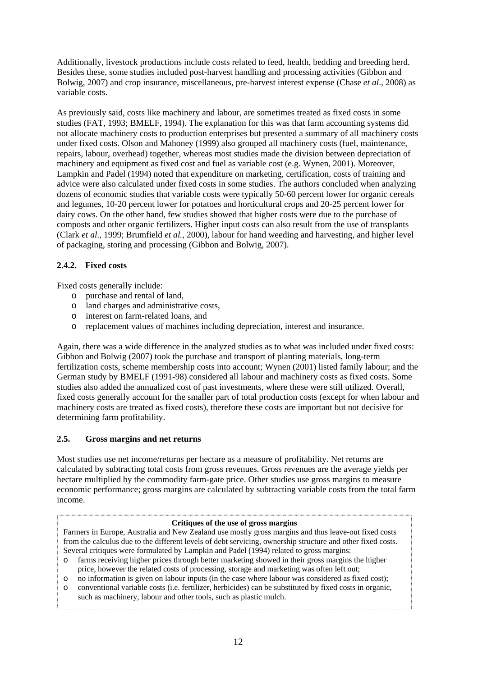Additionally, livestock productions include costs related to feed, health, bedding and breeding herd. Besides these, some studies included post-harvest handling and processing activities (Gibbon and Bolwig, 2007) and crop insurance, miscellaneous, pre-harvest interest expense (Chase *et al*., 2008) as variable costs.

As previously said, costs like machinery and labour, are sometimes treated as fixed costs in some studies (FAT, 1993; BMELF, 1994). The explanation for this was that farm accounting systems did not allocate machinery costs to production enterprises but presented a summary of all machinery costs under fixed costs. Olson and Mahoney (1999) also grouped all machinery costs (fuel, maintenance, repairs, labour, overhead) together, whereas most studies made the division between depreciation of machinery and equipment as fixed cost and fuel as variable cost (e.g. Wynen, 2001). Moreover, Lampkin and Padel (1994) noted that expenditure on marketing, certification, costs of training and advice were also calculated under fixed costs in some studies. The authors concluded when analyzing dozens of economic studies that variable costs were typically 50-60 percent lower for organic cereals and legumes, 10-20 percent lower for potatoes and horticultural crops and 20-25 percent lower for dairy cows. On the other hand, few studies showed that higher costs were due to the purchase of composts and other organic fertilizers. Higher input costs can also result from the use of transplants (Clark *et al*., 1999; Brumfield *et al.*, 2000), labour for hand weeding and harvesting, and higher level of packaging, storing and processing (Gibbon and Bolwig, 2007).

# **2.4.2. Fixed costs**

Fixed costs generally include:

- o purchase and rental of land,
- o land charges and administrative costs,
- o interest on farm-related loans, and
- o replacement values of machines including depreciation, interest and insurance.

Again, there was a wide difference in the analyzed studies as to what was included under fixed costs: Gibbon and Bolwig (2007) took the purchase and transport of planting materials, long-term fertilization costs, scheme membership costs into account; Wynen (2001) listed family labour; and the German study by BMELF (1991-98) considered all labour and machinery costs as fixed costs. Some studies also added the annualized cost of past investments, where these were still utilized. Overall, fixed costs generally account for the smaller part of total production costs (except for when labour and machinery costs are treated as fixed costs), therefore these costs are important but not decisive for determining farm profitability.

# **2.5. Gross margins and net returns**

Most studies use net income/returns per hectare as a measure of profitability. Net returns are calculated by subtracting total costs from gross revenues. Gross revenues are the average yields per hectare multiplied by the commodity farm-gate price. Other studies use gross margins to measure economic performance; gross margins are calculated by subtracting variable costs from the total farm income.

#### **Critiques of the use of gross margins**

Farmers in Europe, Australia and New Zealand use mostly gross margins and thus leave-out fixed costs from the calculus due to the different levels of debt servicing, ownership structure and other fixed costs. Several critiques were formulated by Lampkin and Padel (1994) related to gross margins:

- o farms receiving higher prices through better marketing showed in their gross margins the higher price, however the related costs of processing, storage and marketing was often left out;
- o no information is given on labour inputs (in the case where labour was considered as fixed cost);
- o conventional variable costs (i.e. fertilizer, herbicides) can be substituted by fixed costs in organic, such as machinery, labour and other tools, such as plastic mulch.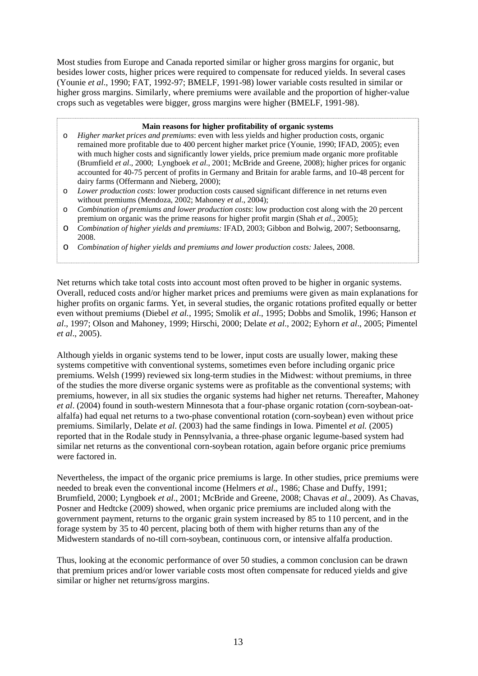Most studies from Europe and Canada reported similar or higher gross margins for organic, but besides lower costs, higher prices were required to compensate for reduced yields. In several cases (Younie *et al*., 1990; FAT, 1992-97; BMELF, 1991-98) lower variable costs resulted in similar or higher gross margins. Similarly, where premiums were available and the proportion of higher-value crops such as vegetables were bigger, gross margins were higher (BMELF, 1991-98).

#### **Main reasons for higher profitability of organic systems**

- o *Higher market prices and premiums*: even with less yields and higher production costs, organic remained more profitable due to 400 percent higher market price (Younie, 1990; IFAD, 2005); even with much higher costs and significantly lower yields, price premium made organic more profitable (Brumfield *et al*., 2000; Lyngboek *et al*., 2001; McBride and Greene, 2008); higher prices for organic accounted for 40-75 percent of profits in Germany and Britain for arable farms, and 10-48 percent for dairy farms (Offermann and Nieberg, 2000);
- o *Lower production costs*: lower production costs caused significant difference in net returns even without premiums (Mendoza, 2002; Mahoney *et al*., 2004);
- o *Combination of premiums and lower production costs*: low production cost along with the 20 percent premium on organic was the prime reasons for higher profit margin (Shah *et al.,* 2005);
- o *Combination of higher yields and premiums:* IFAD, 2003; Gibbon and Bolwig, 2007; Setboonsarng, 2008.
- o *Combination of higher yields and premiums and lower production costs:* Jalees, 2008.

Net returns which take total costs into account most often proved to be higher in organic systems. Overall, reduced costs and/or higher market prices and premiums were given as main explanations for higher profits on organic farms. Yet, in several studies, the organic rotations profited equally or better even without premiums (Diebel *et al.*, 1995; Smolik *et al*., 1995; Dobbs and Smolik, 1996; Hanson *et al*., 1997; Olson and Mahoney, 1999; Hirschi, 2000; Delate *et al*., 2002; Eyhorn *et al*., 2005; Pimentel *et al*., 2005).

Although yields in organic systems tend to be lower, input costs are usually lower, making these systems competitive with conventional systems, sometimes even before including organic price premiums. Welsh (1999) reviewed six long-term studies in the Midwest: without premiums, in three of the studies the more diverse organic systems were as profitable as the conventional systems; with premiums, however, in all six studies the organic systems had higher net returns. Thereafter, Mahoney *et al*. (2004) found in south-western Minnesota that a four-phase organic rotation (corn-soybean-oatalfalfa) had equal net returns to a two-phase conventional rotation (corn-soybean) even without price premiums. Similarly, Delate *et al*. (2003) had the same findings in Iowa. Pimentel *et al.* (2005) reported that in the Rodale study in Pennsylvania, a three-phase organic legume-based system had similar net returns as the conventional corn-soybean rotation, again before organic price premiums were factored in.

Nevertheless, the impact of the organic price premiums is large. In other studies, price premiums were needed to break even the conventional income (Helmers *et al*., 1986; Chase and Duffy, 1991; Brumfield, 2000; Lyngboek *et al*., 2001; McBride and Greene, 2008; Chavas *et al*., 2009). As Chavas, Posner and Hedtcke (2009) showed, when organic price premiums are included along with the government payment, returns to the organic grain system increased by 85 to 110 percent, and in the forage system by 35 to 40 percent, placing both of them with higher returns than any of the Midwestern standards of no-till corn-soybean, continuous corn, or intensive alfalfa production.

Thus, looking at the economic performance of over 50 studies, a common conclusion can be drawn that premium prices and/or lower variable costs most often compensate for reduced yields and give similar or higher net returns/gross margins.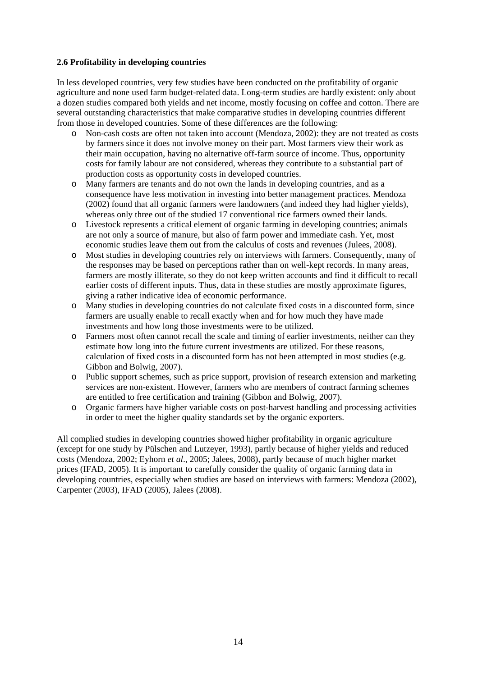#### **2.6 Profitability in developing countries**

In less developed countries, very few studies have been conducted on the profitability of organic agriculture and none used farm budget-related data. Long-term studies are hardly existent: only about a dozen studies compared both yields and net income, mostly focusing on coffee and cotton. There are several outstanding characteristics that make comparative studies in developing countries different from those in developed countries. Some of these differences are the following:

- o Non-cash costs are often not taken into account (Mendoza, 2002): they are not treated as costs by farmers since it does not involve money on their part. Most farmers view their work as their main occupation, having no alternative off-farm source of income. Thus, opportunity costs for family labour are not considered, whereas they contribute to a substantial part of production costs as opportunity costs in developed countries.
- o Many farmers are tenants and do not own the lands in developing countries, and as a consequence have less motivation in investing into better management practices. Mendoza (2002) found that all organic farmers were landowners (and indeed they had higher yields), whereas only three out of the studied 17 conventional rice farmers owned their lands.
- o Livestock represents a critical element of organic farming in developing countries; animals are not only a source of manure, but also of farm power and immediate cash. Yet, most economic studies leave them out from the calculus of costs and revenues (Julees, 2008).
- o Most studies in developing countries rely on interviews with farmers. Consequently, many of the responses may be based on perceptions rather than on well-kept records. In many areas, farmers are mostly illiterate, so they do not keep written accounts and find it difficult to recall earlier costs of different inputs. Thus, data in these studies are mostly approximate figures, giving a rather indicative idea of economic performance.
- o Many studies in developing countries do not calculate fixed costs in a discounted form, since farmers are usually enable to recall exactly when and for how much they have made investments and how long those investments were to be utilized.
- o Farmers most often cannot recall the scale and timing of earlier investments, neither can they estimate how long into the future current investments are utilized. For these reasons, calculation of fixed costs in a discounted form has not been attempted in most studies (e.g. Gibbon and Bolwig, 2007).
- o Public support schemes, such as price support, provision of research extension and marketing services are non-existent. However, farmers who are members of contract farming schemes are entitled to free certification and training (Gibbon and Bolwig, 2007).
- o Organic farmers have higher variable costs on post-harvest handling and processing activities in order to meet the higher quality standards set by the organic exporters.

All complied studies in developing countries showed higher profitability in organic agriculture (except for one study by Pülschen and Lutzeyer, 1993), partly because of higher yields and reduced costs (Mendoza, 2002; Eyhorn *et al*., 2005; Jalees, 2008), partly because of much higher market prices (IFAD, 2005). It is important to carefully consider the quality of organic farming data in developing countries, especially when studies are based on interviews with farmers: Mendoza (2002), Carpenter (2003), IFAD (2005), Jalees (2008).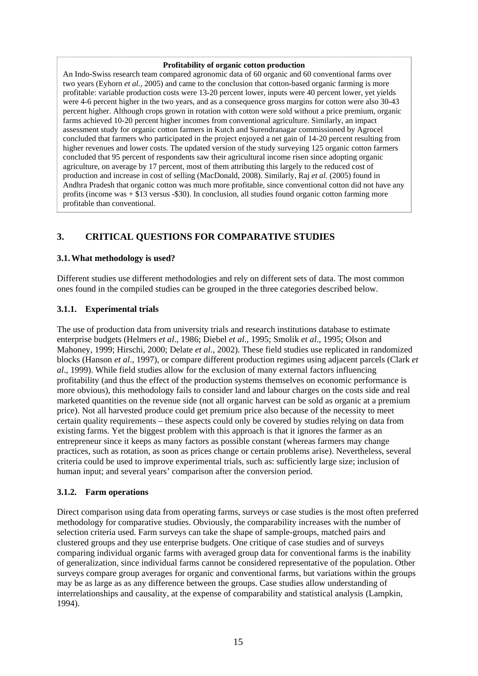#### **Profitability of organic cotton production**

An Indo-Swiss research team compared agronomic data of 60 organic and 60 conventional farms over two years (Eyhorn *et al.*, 2005) and came to the conclusion that cotton-based organic farming is more profitable: variable production costs were 13-20 percent lower, inputs were 40 percent lower, yet yields were 4-6 percent higher in the two years, and as a consequence gross margins for cotton were also 30-43 percent higher. Although crops grown in rotation with cotton were sold without a price premium, organic farms achieved 10-20 percent higher incomes from conventional agriculture. Similarly, an impact assessment study for organic cotton farmers in Kutch and Surendranagar commissioned by Agrocel concluded that farmers who participated in the project enjoyed a net gain of 14-20 percent resulting from higher revenues and lower costs. The updated version of the study surveying 125 organic cotton farmers concluded that 95 percent of respondents saw their agricultural income risen since adopting organic agriculture, on average by 17 percent, most of them attributing this largely to the reduced cost of production and increase in cost of selling (MacDonald, 2008). Similarly, Raj *et al.* (2005) found in Andhra Pradesh that organic cotton was much more profitable, since conventional cotton did not have any profits (income was + \$13 versus -\$30). In conclusion, all studies found organic cotton farming more profitable than conventional.

# **3. CRITICAL QUESTIONS FOR COMPARATIVE STUDIES**

#### **3.1.What methodology is used?**

Different studies use different methodologies and rely on different sets of data. The most common ones found in the compiled studies can be grouped in the three categories described below.

#### **3.1.1. Experimental trials**

The use of production data from university trials and research institutions database to estimate enterprise budgets (Helmers *et al*., 1986; Diebel *et al*., 1995; Smolik *et al*., 1995; Olson and Mahoney, 1999; Hirschi, 2000; Delate *et al*., 2002). These field studies use replicated in randomized blocks (Hanson *et al*., 1997), or compare different production regimes using adjacent parcels (Clark *et al*., 1999). While field studies allow for the exclusion of many external factors influencing profitability (and thus the effect of the production systems themselves on economic performance is more obvious), this methodology fails to consider land and labour charges on the costs side and real marketed quantities on the revenue side (not all organic harvest can be sold as organic at a premium price). Not all harvested produce could get premium price also because of the necessity to meet certain quality requirements – these aspects could only be covered by studies relying on data from existing farms. Yet the biggest problem with this approach is that it ignores the farmer as an entrepreneur since it keeps as many factors as possible constant (whereas farmers may change practices, such as rotation, as soon as prices change or certain problems arise). Nevertheless, several criteria could be used to improve experimental trials, such as: sufficiently large size; inclusion of human input; and several years' comparison after the conversion period.

#### **3.1.2. Farm operations**

Direct comparison using data from operating farms, surveys or case studies is the most often preferred methodology for comparative studies. Obviously, the comparability increases with the number of selection criteria used. Farm surveys can take the shape of sample-groups, matched pairs and clustered groups and they use enterprise budgets. One critique of case studies and of surveys comparing individual organic farms with averaged group data for conventional farms is the inability of generalization, since individual farms cannot be considered representative of the population. Other surveys compare group averages for organic and conventional farms, but variations within the groups may be as large as as any difference between the groups. Case studies allow understanding of interrelationships and causality, at the expense of comparability and statistical analysis (Lampkin, 1994).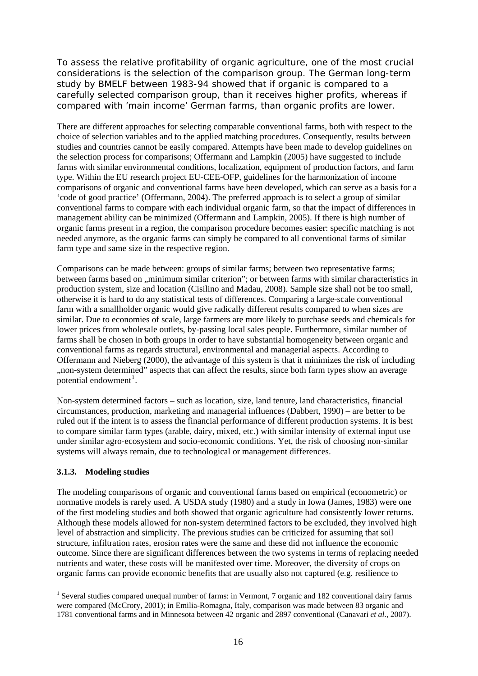To assess the relative profitability of organic agriculture, one of the most crucial considerations is the selection of the comparison group. The German long-term study by BMELF between 1983-94 showed that if organic is compared to a carefully selected comparison group, than it receives higher profits, whereas if compared with 'main income' German farms, than organic profits are lower.

There are different approaches for selecting comparable conventional farms, both with respect to the choice of selection variables and to the applied matching procedures. Consequently, results between studies and countries cannot be easily compared. Attempts have been made to develop guidelines on the selection process for comparisons; Offermann and Lampkin (2005) have suggested to include farms with similar environmental conditions, localization, equipment of production factors, and farm type. Within the EU research project EU-CEE-OFP, guidelines for the harmonization of income comparisons of organic and conventional farms have been developed, which can serve as a basis for a 'code of good practice' (Offermann, 2004). The preferred approach is to select a group of similar conventional farms to compare with each individual organic farm, so that the impact of differences in management ability can be minimized (Offermann and Lampkin, 2005). If there is high number of organic farms present in a region, the comparison procedure becomes easier: specific matching is not needed anymore, as the organic farms can simply be compared to all conventional farms of similar farm type and same size in the respective region.

Comparisons can be made between: groups of similar farms; between two representative farms; between farms based on "minimum similar criterion"; or between farms with similar characteristics in production system, size and location (Cisilino and Madau, 2008). Sample size shall not be too small, otherwise it is hard to do any statistical tests of differences. Comparing a large-scale conventional farm with a smallholder organic would give radically different results compared to when sizes are similar. Due to economies of scale, large farmers are more likely to purchase seeds and chemicals for lower prices from wholesale outlets, by-passing local sales people. Furthermore, similar number of farms shall be chosen in both groups in order to have substantial homogeneity between organic and conventional farms as regards structural, environmental and managerial aspects. According to Offermann and Nieberg (2000), the advantage of this system is that it minimizes the risk of including "non-system determined" aspects that can affect the results, since both farm types show an average potential endowment<sup>[1](#page-15-0)</sup>.

Non-system determined factors – such as location, size, land tenure, land characteristics, financial circumstances, production, marketing and managerial influences (Dabbert, 1990) – are better to be ruled out if the intent is to assess the financial performance of different production systems. It is best to compare similar farm types (arable, dairy, mixed, etc.) with similar intensity of external input use under similar agro-ecosystem and socio-economic conditions. Yet, the risk of choosing non-similar systems will always remain, due to technological or management differences.

#### **3.1.3. Modeling studies**

1

The modeling comparisons of organic and conventional farms based on empirical (econometric) or normative models is rarely used. A USDA study (1980) and a study in Iowa (James, 1983) were one of the first modeling studies and both showed that organic agriculture had consistently lower returns. Although these models allowed for non-system determined factors to be excluded, they involved high level of abstraction and simplicity. The previous studies can be criticized for assuming that soil structure, infiltration rates, erosion rates were the same and these did not influence the economic outcome. Since there are significant differences between the two systems in terms of replacing needed nutrients and water, these costs will be manifested over time. Moreover, the diversity of crops on organic farms can provide economic benefits that are usually also not captured (e.g. resilience to

<span id="page-15-0"></span><sup>&</sup>lt;sup>1</sup> Several studies compared unequal number of farms: in Vermont, 7 organic and 182 conventional dairy farms were compared (McCrory, 2001); in Emilia-Romagna, Italy, comparison was made between 83 organic and 1781 conventional farms and in Minnesota between 42 organic and 2897 conventional (Canavari *et al*., 2007).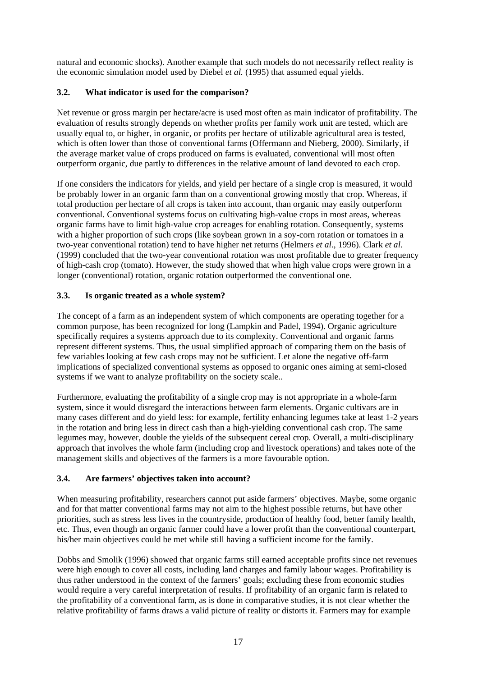natural and economic shocks). Another example that such models do not necessarily reflect reality is the economic simulation model used by Diebel *et al.* (1995) that assumed equal yields.

# **3.2. What indicator is used for the comparison?**

Net revenue or gross margin per hectare/acre is used most often as main indicator of profitability. The evaluation of results strongly depends on whether profits per family work unit are tested, which are usually equal to, or higher, in organic, or profits per hectare of utilizable agricultural area is tested, which is often lower than those of conventional farms (Offermann and Nieberg, 2000). Similarly, if the average market value of crops produced on farms is evaluated, conventional will most often outperform organic, due partly to differences in the relative amount of land devoted to each crop.

If one considers the indicators for yields, and yield per hectare of a single crop is measured, it would be probably lower in an organic farm than on a conventional growing mostly that crop. Whereas, if total production per hectare of all crops is taken into account, than organic may easily outperform conventional. Conventional systems focus on cultivating high-value crops in most areas, whereas organic farms have to limit high-value crop acreages for enabling rotation. Consequently, systems with a higher proportion of such crops (like soybean grown in a soy-corn rotation or tomatoes in a two-year conventional rotation) tend to have higher net returns (Helmers *et al*., 1996). Clark *et al*. (1999) concluded that the two-year conventional rotation was most profitable due to greater frequency of high-cash crop (tomato). However, the study showed that when high value crops were grown in a longer (conventional) rotation, organic rotation outperformed the conventional one.

# **3.3. Is organic treated as a whole system?**

The concept of a farm as an independent system of which components are operating together for a common purpose, has been recognized for long (Lampkin and Padel, 1994). Organic agriculture specifically requires a systems approach due to its complexity. Conventional and organic farms represent different systems. Thus, the usual simplified approach of comparing them on the basis of few variables looking at few cash crops may not be sufficient. Let alone the negative off-farm implications of specialized conventional systems as opposed to organic ones aiming at semi-closed systems if we want to analyze profitability on the society scale..

Furthermore, evaluating the profitability of a single crop may is not appropriate in a whole-farm system, since it would disregard the interactions between farm elements. Organic cultivars are in many cases different and do yield less: for example, fertility enhancing legumes take at least 1-2 years in the rotation and bring less in direct cash than a high-yielding conventional cash crop. The same legumes may, however, double the yields of the subsequent cereal crop. Overall, a multi-disciplinary approach that involves the whole farm (including crop and livestock operations) and takes note of the management skills and objectives of the farmers is a more favourable option.

# **3.4. Are farmers' objectives taken into account?**

When measuring profitability, researchers cannot put aside farmers' objectives. Maybe, some organic and for that matter conventional farms may not aim to the highest possible returns, but have other priorities, such as stress less lives in the countryside, production of healthy food, better family health, etc. Thus, even though an organic farmer could have a lower profit than the conventional counterpart, his/her main objectives could be met while still having a sufficient income for the family.

Dobbs and Smolik (1996) showed that organic farms still earned acceptable profits since net revenues were high enough to cover all costs, including land charges and family labour wages. Profitability is thus rather understood in the context of the farmers' goals; excluding these from economic studies would require a very careful interpretation of results. If profitability of an organic farm is related to the profitability of a conventional farm, as is done in comparative studies, it is not clear whether the relative profitability of farms draws a valid picture of reality or distorts it. Farmers may for example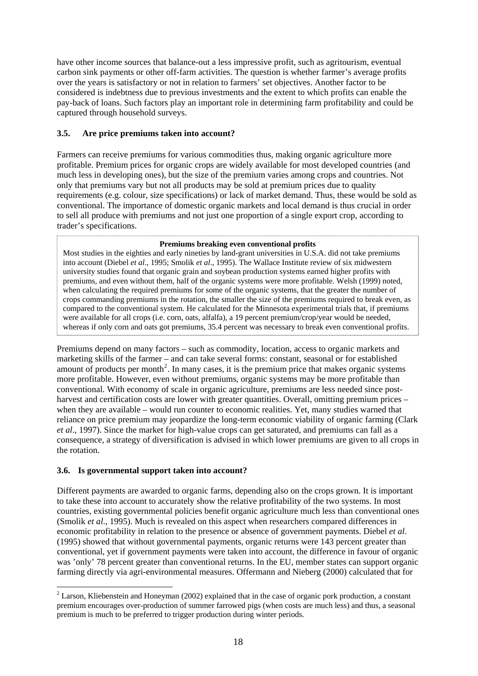have other income sources that balance-out a less impressive profit, such as agritourism, eventual carbon sink payments or other off-farm activities. The question is whether farmer's average profits over the years is satisfactory or not in relation to farmers' set objectives. Another factor to be considered is indebtness due to previous investments and the extent to which profits can enable the pay-back of loans. Such factors play an important role in determining farm profitability and could be captured through household surveys.

# **3.5. Are price premiums taken into account?**

Farmers can receive premiums for various commodities thus, making organic agriculture more profitable. Premium prices for organic crops are widely available for most developed countries (and much less in developing ones), but the size of the premium varies among crops and countries. Not only that premiums vary but not all products may be sold at premium prices due to quality requirements (e.g. colour, size specifications) or lack of market demand. Thus, these would be sold as conventional. The importance of domestic organic markets and local demand is thus crucial in order to sell all produce with premiums and not just one proportion of a single export crop, according to trader's specifications.

#### **Premiums breaking even conventional profits**

Most studies in the eighties and early nineties by land-grant universities in U.S.A. did not take premiums into account (Diebel *et al*., 1995; Smolik *et al*., 1995). The Wallace Institute review of six midwestern university studies found that organic grain and soybean production systems earned higher profits with premiums, and even without them, half of the organic systems were more profitable. Welsh (1999) noted, when calculating the required premiums for some of the organic systems, that the greater the number of crops commanding premiums in the rotation, the smaller the size of the premiums required to break even, as compared to the conventional system. He calculated for the Minnesota experimental trials that, if premiums were available for all crops (i.e. corn, oats, alfalfa), a 19 percent premium/crop/year would be needed, whereas if only corn and oats got premiums, 35.4 percent was necessary to break even conventional profits.

Premiums depend on many factors – such as commodity, location, access to organic markets and marketing skills of the farmer – and can take several forms: constant, seasonal or for established amount of products per month<sup>[2](#page-17-0)</sup>. In many cases, it is the premium price that makes organic systems more profitable. However, even without premiums, organic systems may be more profitable than conventional. With economy of scale in organic agriculture, premiums are less needed since postharvest and certification costs are lower with greater quantities. Overall, omitting premium prices – when they are available – would run counter to economic realities. Yet, many studies warned that reliance on price premium may jeopardize the long-term economic viability of organic farming (Clark *et al*., 1997). Since the market for high-value crops can get saturated, and premiums can fall as a consequence, a strategy of diversification is advised in which lower premiums are given to all crops in the rotation.

# **3.6. Is governmental support taken into account?**

1

Different payments are awarded to organic farms, depending also on the crops grown. It is important to take these into account to accurately show the relative profitability of the two systems. In most countries, existing governmental policies benefit organic agriculture much less than conventional ones (Smolik *et al*., 1995). Much is revealed on this aspect when researchers compared differences in economic profitability in relation to the presence or absence of government payments. Diebel *et al*. (1995) showed that without governmental payments, organic returns were 143 percent greater than conventional, yet if government payments were taken into account, the difference in favour of organic was 'only' 78 percent greater than conventional returns. In the EU, member states can support organic farming directly via agri-environmental measures. Offermann and Nieberg (2000) calculated that for

<span id="page-17-0"></span> $2$  Larson, Kliebenstein and Honeyman (2002) explained that in the case of organic pork production, a constant premium encourages over-production of summer farrowed pigs (when costs are much less) and thus, a seasonal premium is much to be preferred to trigger production during winter periods.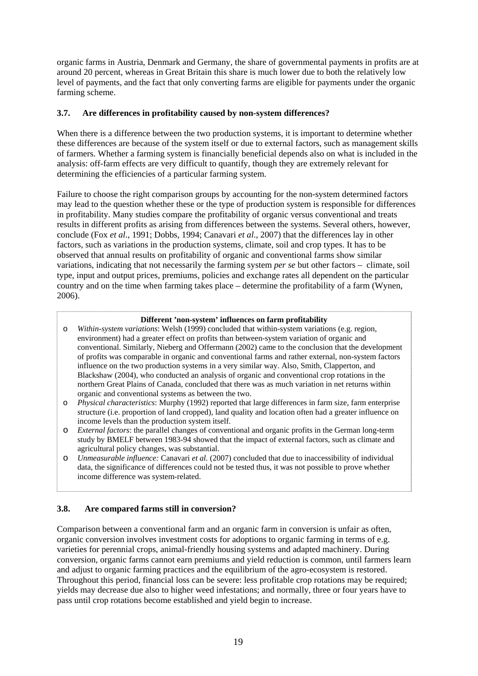organic farms in Austria, Denmark and Germany, the share of governmental payments in profits are at around 20 percent, whereas in Great Britain this share is much lower due to both the relatively low level of payments, and the fact that only converting farms are eligible for payments under the organic farming scheme.

#### **3.7. Are differences in profitability caused by non-system differences?**

When there is a difference between the two production systems, it is important to determine whether these differences are because of the system itself or due to external factors, such as management skills of farmers. Whether a farming system is financially beneficial depends also on what is included in the analysis: off-farm effects are very difficult to quantify, though they are extremely relevant for determining the efficiencies of a particular farming system.

Failure to choose the right comparison groups by accounting for the non-system determined factors may lead to the question whether these or the type of production system is responsible for differences in profitability. Many studies compare the profitability of organic versus conventional and treats results in different profits as arising from differences between the systems. Several others, however, conclude (Fox *et al*., 1991; Dobbs, 1994; Canavari *et al*., 2007) that the differences lay in other factors, such as variations in the production systems, climate, soil and crop types. It has to be observed that annual results on profitability of organic and conventional farms show similar variations, indicating that not necessarily the farming system *per se* but other factors – climate, soil type, input and output prices, premiums, policies and exchange rates all dependent on the particular country and on the time when farming takes place – determine the profitability of a farm (Wynen, 2006).

#### **Different 'non-system' influences on farm profitability**

- o *Within-system variations*: Welsh (1999) concluded that within-system variations (e.g. region, environment) had a greater effect on profits than between-system variation of organic and conventional. Similarly, Nieberg and Offermann (2002) came to the conclusion that the development of profits was comparable in organic and conventional farms and rather external, non-system factors influence on the two production systems in a very similar way. Also, Smith, Clapperton, and Blackshaw (2004), who conducted an analysis of organic and conventional crop rotations in the northern Great Plains of Canada, concluded that there was as much variation in net returns within organic and conventional systems as between the two.
- o *Physical characteristics*: Murphy (1992) reported that large differences in farm size, farm enterprise structure (i.e. proportion of land cropped), land quality and location often had a greater influence on income levels than the production system itself.
- o *External factors*: the parallel changes of conventional and organic profits in the German long-term study by BMELF between 1983-94 showed that the impact of external factors, such as climate and agricultural policy changes, was substantial.
- o *Unmeasurable influence:* Canavari *et al.* (2007) concluded that due to inaccessibility of individual data, the significance of differences could not be tested thus, it was not possible to prove whether income difference was system-related.

# **3.8. Are compared farms still in conversion?**

Comparison between a conventional farm and an organic farm in conversion is unfair as often, organic conversion involves investment costs for adoptions to organic farming in terms of e.g. varieties for perennial crops, animal-friendly housing systems and adapted machinery. During conversion, organic farms cannot earn premiums and yield reduction is common, until farmers learn and adjust to organic farming practices and the equilibrium of the agro-ecosystem is restored. Throughout this period, financial loss can be severe: less profitable crop rotations may be required; yields may decrease due also to higher weed infestations; and normally, three or four years have to pass until crop rotations become established and yield begin to increase.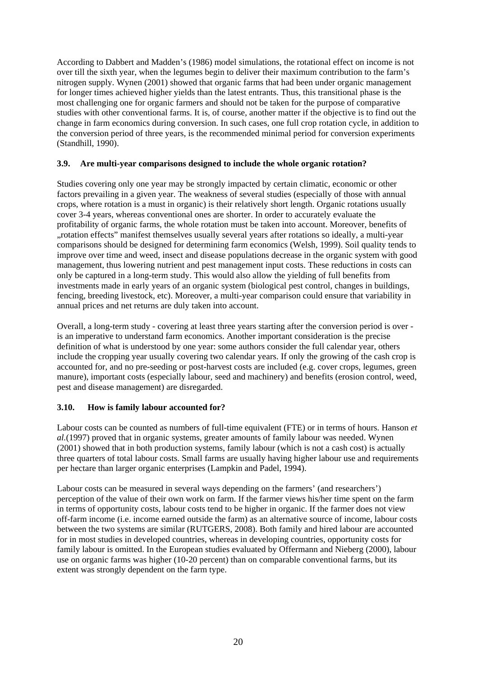According to Dabbert and Madden's (1986) model simulations, the rotational effect on income is not over till the sixth year, when the legumes begin to deliver their maximum contribution to the farm's nitrogen supply. Wynen (2001) showed that organic farms that had been under organic management for longer times achieved higher yields than the latest entrants. Thus, this transitional phase is the most challenging one for organic farmers and should not be taken for the purpose of comparative studies with other conventional farms. It is, of course, another matter if the objective is to find out the change in farm economics during conversion. In such cases, one full crop rotation cycle, in addition to the conversion period of three years, is the recommended minimal period for conversion experiments (Standhill, 1990).

#### **3.9. Are multi-year comparisons designed to include the whole organic rotation?**

Studies covering only one year may be strongly impacted by certain climatic, economic or other factors prevailing in a given year. The weakness of several studies (especially of those with annual crops, where rotation is a must in organic) is their relatively short length. Organic rotations usually cover 3-4 years, whereas conventional ones are shorter. In order to accurately evaluate the profitability of organic farms, the whole rotation must be taken into account. Moreover, benefits of "rotation effects" manifest themselves usually several years after rotations so ideally, a multi-year comparisons should be designed for determining farm economics (Welsh, 1999). Soil quality tends to improve over time and weed, insect and disease populations decrease in the organic system with good management, thus lowering nutrient and pest management input costs. These reductions in costs can only be captured in a long-term study. This would also allow the yielding of full benefits from investments made in early years of an organic system (biological pest control, changes in buildings, fencing, breeding livestock, etc). Moreover, a multi-year comparison could ensure that variability in annual prices and net returns are duly taken into account.

Overall, a long-term study - covering at least three years starting after the conversion period is over is an imperative to understand farm economics. Another important consideration is the precise definition of what is understood by one year: some authors consider the full calendar year, others include the cropping year usually covering two calendar years. If only the growing of the cash crop is accounted for, and no pre-seeding or post-harvest costs are included (e.g. cover crops, legumes, green manure), important costs (especially labour, seed and machinery) and benefits (erosion control, weed, pest and disease management) are disregarded.

# **3.10. How is family labour accounted for?**

Labour costs can be counted as numbers of full-time equivalent (FTE) or in terms of hours. Hanson *et al.*(1997) proved that in organic systems, greater amounts of family labour was needed. Wynen (2001) showed that in both production systems, family labour (which is not a cash cost) is actually three quarters of total labour costs. Small farms are usually having higher labour use and requirements per hectare than larger organic enterprises (Lampkin and Padel, 1994).

Labour costs can be measured in several ways depending on the farmers' (and researchers') perception of the value of their own work on farm. If the farmer views his/her time spent on the farm in terms of opportunity costs, labour costs tend to be higher in organic. If the farmer does not view off-farm income (i.e. income earned outside the farm) as an alternative source of income, labour costs between the two systems are similar (RUTGERS, 2008). Both family and hired labour are accounted for in most studies in developed countries, whereas in developing countries, opportunity costs for family labour is omitted. In the European studies evaluated by Offermann and Nieberg (2000), labour use on organic farms was higher (10-20 percent) than on comparable conventional farms, but its extent was strongly dependent on the farm type.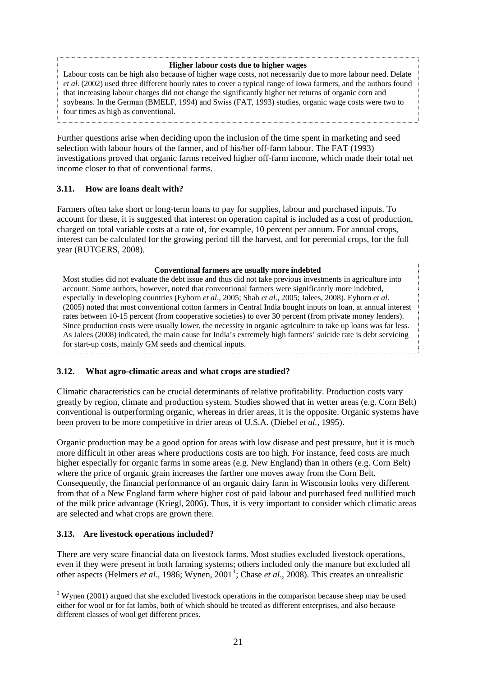#### **Higher labour costs due to higher wages**

Labour costs can be high also because of higher wage costs, not necessarily due to more labour need. Delate *et al*. (2002) used three different hourly rates to cover a typical range of Iowa farmers, and the authors found that increasing labour charges did not change the significantly higher net returns of organic corn and soybeans. In the German (BMELF, 1994) and Swiss (FAT, 1993) studies, organic wage costs were two to four times as high as conventional.

Further questions arise when deciding upon the inclusion of the time spent in marketing and seed selection with labour hours of the farmer, and of his/her off-farm labour. The FAT (1993) investigations proved that organic farms received higher off-farm income, which made their total net income closer to that of conventional farms.

#### **3.11. How are loans dealt with?**

Farmers often take short or long-term loans to pay for supplies, labour and purchased inputs. To account for these, it is suggested that interest on operation capital is included as a cost of production, charged on total variable costs at a rate of, for example, 10 percent per annum. For annual crops, interest can be calculated for the growing period till the harvest, and for perennial crops, for the full year (RUTGERS, 2008).

#### **Conventional farmers are usually more indebted**

Most studies did not evaluate the debt issue and thus did not take previous investments in agriculture into account. Some authors, however, noted that conventional farmers were significantly more indebted, especially in developing countries (Eyhorn *et al*., 2005; Shah *et al*., 2005; Jalees, 2008). Eyhorn *et al*. (2005) noted that most conventional cotton farmers in Central India bought inputs on loan, at annual interest rates between 10-15 percent (from cooperative societies) to over 30 percent (from private money lenders). Since production costs were usually lower, the necessity in organic agriculture to take up loans was far less. As Jalees (2008) indicated, the main cause for India's extremely high farmers' suicide rate is debt servicing for start-up costs, mainly GM seeds and chemical inputs.

#### **3.12. What agro-climatic areas and what crops are studied?**

Climatic characteristics can be crucial determinants of relative profitability. Production costs vary greatly by region, climate and production system. Studies showed that in wetter areas (e.g. Corn Belt) conventional is outperforming organic, whereas in drier areas, it is the opposite. Organic systems have been proven to be more competitive in drier areas of U.S.A. (Diebel *et al.,* 1995).

Organic production may be a good option for areas with low disease and pest pressure, but it is much more difficult in other areas where productions costs are too high. For instance, feed costs are much higher especially for organic farms in some areas (e.g. New England) than in others (e.g. Corn Belt) where the price of organic grain increases the farther one moves away from the Corn Belt. Consequently, the financial performance of an organic dairy farm in Wisconsin looks very different from that of a New England farm where higher cost of paid labour and purchased feed nullified much of the milk price advantage (Kriegl, 2006). Thus, it is very important to consider which climatic areas are selected and what crops are grown there.

#### **3.13. Are livestock operations included?**

1

There are very scare financial data on livestock farms. Most studies excluded livestock operations, even if they were present in both farming systems; others included only the manure but excluded all other aspects (Helmers *et al.*, 1986; Wynen, 2001<sup>[3](#page-20-0)</sup>; Chase *et al.*, 2008). This creates an unrealistic

<span id="page-20-0"></span> $3$  Wynen (2001) argued that she excluded livestock operations in the comparison because sheep may be used either for wool or for fat lambs, both of which should be treated as different enterprises, and also because different classes of wool get different prices.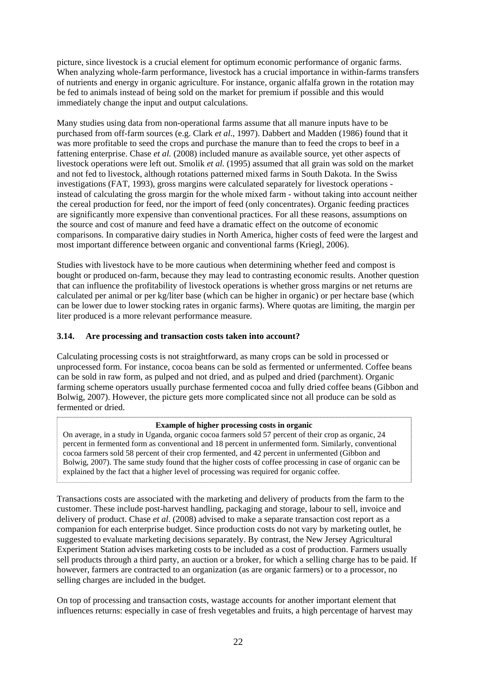picture, since livestock is a crucial element for optimum economic performance of organic farms. When analyzing whole-farm performance, livestock has a crucial importance in within-farms transfers of nutrients and energy in organic agriculture. For instance, organic alfalfa grown in the rotation may be fed to animals instead of being sold on the market for premium if possible and this would immediately change the input and output calculations.

Many studies using data from non-operational farms assume that all manure inputs have to be purchased from off-farm sources (e.g. Clark *et al*., 1997). Dabbert and Madden (1986) found that it was more profitable to seed the crops and purchase the manure than to feed the crops to beef in a fattening enterprise. Chase *et al.* (2008) included manure as available source, yet other aspects of livestock operations were left out. Smolik *et al.* (1995) assumed that all grain was sold on the market and not fed to livestock, although rotations patterned mixed farms in South Dakota. In the Swiss investigations (FAT, 1993), gross margins were calculated separately for livestock operations instead of calculating the gross margin for the whole mixed farm - without taking into account neither the cereal production for feed, nor the import of feed (only concentrates). Organic feeding practices are significantly more expensive than conventional practices. For all these reasons, assumptions on the source and cost of manure and feed have a dramatic effect on the outcome of economic comparisons. In comparative dairy studies in North America, higher costs of feed were the largest and most important difference between organic and conventional farms (Kriegl, 2006).

Studies with livestock have to be more cautious when determining whether feed and compost is bought or produced on-farm, because they may lead to contrasting economic results. Another question that can influence the profitability of livestock operations is whether gross margins or net returns are calculated per animal or per kg/liter base (which can be higher in organic) or per hectare base (which can be lower due to lower stocking rates in organic farms). Where quotas are limiting, the margin per liter produced is a more relevant performance measure.

# **3.14. Are processing and transaction costs taken into account?**

Calculating processing costs is not straightforward, as many crops can be sold in processed or unprocessed form. For instance, cocoa beans can be sold as fermented or unfermented. Coffee beans can be sold in raw form, as pulped and not dried, and as pulped and dried (parchment). Organic farming scheme operators usually purchase fermented cocoa and fully dried coffee beans (Gibbon and Bolwig, 2007). However, the picture gets more complicated since not all produce can be sold as fermented or dried.

#### **Example of higher processing costs in organic**

On average, in a study in Uganda, organic cocoa farmers sold 57 percent of their crop as organic, 24 percent in fermented form as conventional and 18 percent in unfermented form. Similarly, conventional cocoa farmers sold 58 percent of their crop fermented, and 42 percent in unfermented (Gibbon and Bolwig, 2007). The same study found that the higher costs of coffee processing in case of organic can be explained by the fact that a higher level of processing was required for organic coffee.

Transactions costs are associated with the marketing and delivery of products from the farm to the customer. These include post-harvest handling, packaging and storage, labour to sell, invoice and delivery of product. Chase *et al*. (2008) advised to make a separate transaction cost report as a companion for each enterprise budget. Since production costs do not vary by marketing outlet, he suggested to evaluate marketing decisions separately. By contrast, the New Jersey Agricultural Experiment Station advises marketing costs to be included as a cost of production. Farmers usually sell products through a third party, an auction or a broker, for which a selling charge has to be paid. If however, farmers are contracted to an organization (as are organic farmers) or to a processor, no selling charges are included in the budget.

On top of processing and transaction costs, wastage accounts for another important element that influences returns: especially in case of fresh vegetables and fruits, a high percentage of harvest may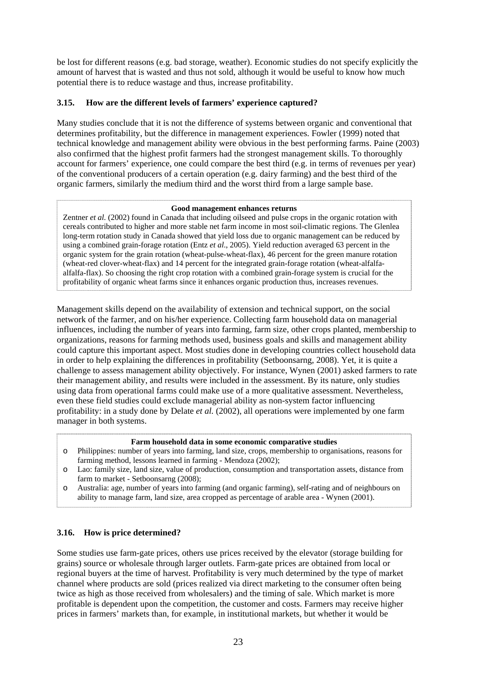be lost for different reasons (e.g. bad storage, weather). Economic studies do not specify explicitly the amount of harvest that is wasted and thus not sold, although it would be useful to know how much potential there is to reduce wastage and thus, increase profitability.

#### **3.15. How are the different levels of farmers' experience captured?**

Many studies conclude that it is not the difference of systems between organic and conventional that determines profitability, but the difference in management experiences. Fowler (1999) noted that technical knowledge and management ability were obvious in the best performing farms. Paine (2003) also confirmed that the highest profit farmers had the strongest management skills. To thoroughly account for farmers' experience, one could compare the best third (e.g. in terms of revenues per year) of the conventional producers of a certain operation (e.g. dairy farming) and the best third of the organic farmers, similarly the medium third and the worst third from a large sample base.

#### **Good management enhances returns**

Zentner *et al.* (2002) found in Canada that including oilseed and pulse crops in the organic rotation with cereals contributed to higher and more stable net farm income in most soil-climatic regions. The Glenlea long-term rotation study in Canada showed that yield loss due to organic management can be reduced by using a combined grain-forage rotation (Entz *et al*., 2005). Yield reduction averaged 63 percent in the organic system for the grain rotation (wheat-pulse-wheat-flax), 46 percent for the green manure rotation (wheat-red clover-wheat-flax) and 14 percent for the integrated grain-forage rotation (wheat-alfalfaalfalfa-flax). So choosing the right crop rotation with a combined grain-forage system is crucial for the profitability of organic wheat farms since it enhances organic production thus, increases revenues.

Management skills depend on the availability of extension and technical support, on the social network of the farmer, and on his/her experience. Collecting farm household data on managerial influences, including the number of years into farming, farm size, other crops planted, membership to organizations, reasons for farming methods used, business goals and skills and management ability could capture this important aspect. Most studies done in developing countries collect household data in order to help explaining the differences in profitability (Setboonsarng, 2008). Yet, it is quite a challenge to assess management ability objectively. For instance, Wynen (2001) asked farmers to rate their management ability, and results were included in the assessment. By its nature, only studies using data from operational farms could make use of a more qualitative assessment. Nevertheless, even these field studies could exclude managerial ability as non-system factor influencing profitability: in a study done by Delate *et al.* (2002), all operations were implemented by one farm manager in both systems.

#### **Farm household data in some economic comparative studies**

- o Philippines: number of years into farming, land size, crops, membership to organisations, reasons for farming method, lessons learned in farming - Mendoza (2002);
- o Lao: family size, land size, value of production, consumption and transportation assets, distance from farm to market - Setboonsarng (2008);
- o Australia: age, number of years into farming (and organic farming), self-rating and of neighbours on ability to manage farm, land size, area cropped as percentage of arable area - Wynen (2001).

#### **3.16. How is price determined?**

ļ.

Some studies use farm-gate prices, others use prices received by the elevator (storage building for grains) source or wholesale through larger outlets. Farm-gate prices are obtained from local or regional buyers at the time of harvest. Profitability is very much determined by the type of market channel where products are sold (prices realized via direct marketing to the consumer often being twice as high as those received from wholesalers) and the timing of sale. Which market is more profitable is dependent upon the competition, the customer and costs. Farmers may receive higher prices in farmers' markets than, for example, in institutional markets, but whether it would be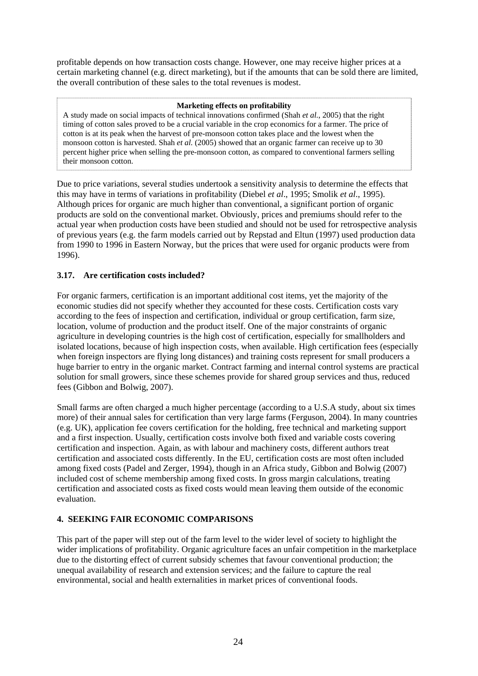profitable depends on how transaction costs change. However, one may receive higher prices at a certain marketing channel (e.g. direct marketing), but if the amounts that can be sold there are limited, the overall contribution of these sales to the total revenues is modest.

#### **Marketing effects on profitability**

A study made on social impacts of technical innovations confirmed (Shah *et al.*, 2005) that the right timing of cotton sales proved to be a crucial variable in the crop economics for a farmer. The price of cotton is at its peak when the harvest of pre-monsoon cotton takes place and the lowest when the monsoon cotton is harvested. Shah *et al.* (2005) showed that an organic farmer can receive up to 30 percent higher price when selling the pre-monsoon cotton, as compared to conventional farmers selling their monsoon cotton.

Due to price variations, several studies undertook a sensitivity analysis to determine the effects that this may have in terms of variations in profitability (Diebel *et al*., 1995; Smolik *et al*., 1995). Although prices for organic are much higher than conventional, a significant portion of organic products are sold on the conventional market. Obviously, prices and premiums should refer to the actual year when production costs have been studied and should not be used for retrospective analysis of previous years (e.g. the farm models carried out by Repstad and Eltun (1997) used production data from 1990 to 1996 in Eastern Norway, but the prices that were used for organic products were from 1996).

#### **3.17. Are certification costs included?**

For organic farmers, certification is an important additional cost items, yet the majority of the economic studies did not specify whether they accounted for these costs. Certification costs vary according to the fees of inspection and certification, individual or group certification, farm size, location, volume of production and the product itself. One of the major constraints of organic agriculture in developing countries is the high cost of certification, especially for smallholders and isolated locations, because of high inspection costs, when available. High certification fees (especially when foreign inspectors are flying long distances) and training costs represent for small producers a huge barrier to entry in the organic market. Contract farming and internal control systems are practical solution for small growers, since these schemes provide for shared group services and thus, reduced fees (Gibbon and Bolwig, 2007).

Small farms are often charged a much higher percentage (according to a U.S.A study, about six times more) of their annual sales for certification than very large farms (Ferguson, 2004). In many countries (e.g. UK), application fee covers certification for the holding, free technical and marketing support and a first inspection. Usually, certification costs involve both fixed and variable costs covering certification and inspection. Again, as with labour and machinery costs, different authors treat certification and associated costs differently. In the EU, certification costs are most often included among fixed costs (Padel and Zerger, 1994), though in an Africa study, Gibbon and Bolwig (2007) included cost of scheme membership among fixed costs. In gross margin calculations, treating certification and associated costs as fixed costs would mean leaving them outside of the economic evaluation.

# **4. SEEKING FAIR ECONOMIC COMPARISONS**

This part of the paper will step out of the farm level to the wider level of society to highlight the wider implications of profitability. Organic agriculture faces an unfair competition in the marketplace due to the distorting effect of current subsidy schemes that favour conventional production; the unequal availability of research and extension services; and the failure to capture the real environmental, social and health externalities in market prices of conventional foods.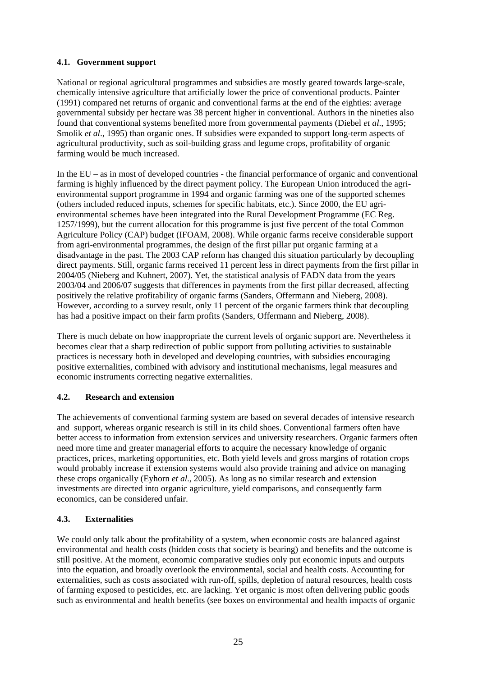# **4.1. Government support**

National or regional agricultural programmes and subsidies are mostly geared towards large-scale, chemically intensive agriculture that artificially lower the price of conventional products. Painter (1991) compared net returns of organic and conventional farms at the end of the eighties: average governmental subsidy per hectare was 38 percent higher in conventional. Authors in the nineties also found that conventional systems benefited more from governmental payments (Diebel *et al*., 1995; Smolik *et al*., 1995) than organic ones. If subsidies were expanded to support long-term aspects of agricultural productivity, such as soil-building grass and legume crops, profitability of organic farming would be much increased.

In the EU – as in most of developed countries - the financial performance of organic and conventional farming is highly influenced by the direct payment policy. The European Union introduced the agrienvironmental support programme in 1994 and organic farming was one of the supported schemes (others included reduced inputs, schemes for specific habitats, etc.). Since 2000, the EU agrienvironmental schemes have been integrated into the Rural Development Programme (EC Reg. 1257/1999), but the current allocation for this programme is just five percent of the total Common Agriculture Policy (CAP) budget (IFOAM, 2008). While organic farms receive considerable support from agri-environmental programmes, the design of the first pillar put organic farming at a disadvantage in the past. The 2003 CAP reform has changed this situation particularly by decoupling direct payments. Still, organic farms received 11 percent less in direct payments from the first pillar in 2004/05 (Nieberg and Kuhnert, 2007). Yet, the statistical analysis of FADN data from the years 2003/04 and 2006/07 suggests that differences in payments from the first pillar decreased, affecting positively the relative profitability of organic farms (Sanders, Offermann and Nieberg, 2008). However, according to a survey result, only 11 percent of the organic farmers think that decoupling has had a positive impact on their farm profits (Sanders, Offermann and Nieberg, 2008).

There is much debate on how inappropriate the current levels of organic support are. Nevertheless it becomes clear that a sharp redirection of public support from polluting activities to sustainable practices is necessary both in developed and developing countries, with subsidies encouraging positive externalities, combined with advisory and institutional mechanisms, legal measures and economic instruments correcting negative externalities.

# **4.2. Research and extension**

The achievements of conventional farming system are based on several decades of intensive research and support, whereas organic research is still in its child shoes. Conventional farmers often have better access to information from extension services and university researchers. Organic farmers often need more time and greater managerial efforts to acquire the necessary knowledge of organic practices, prices, marketing opportunities, etc. Both yield levels and gross margins of rotation crops would probably increase if extension systems would also provide training and advice on managing these crops organically (Eyhorn *et al*., 2005). As long as no similar research and extension investments are directed into organic agriculture, yield comparisons, and consequently farm economics, can be considered unfair.

# **4.3. Externalities**

We could only talk about the profitability of a system, when economic costs are balanced against environmental and health costs (hidden costs that society is bearing) and benefits and the outcome is still positive. At the moment, economic comparative studies only put economic inputs and outputs into the equation, and broadly overlook the environmental, social and health costs. Accounting for externalities, such as costs associated with run-off, spills, depletion of natural resources, health costs of farming exposed to pesticides, etc. are lacking. Yet organic is most often delivering public goods such as environmental and health benefits (see boxes on environmental and health impacts of organic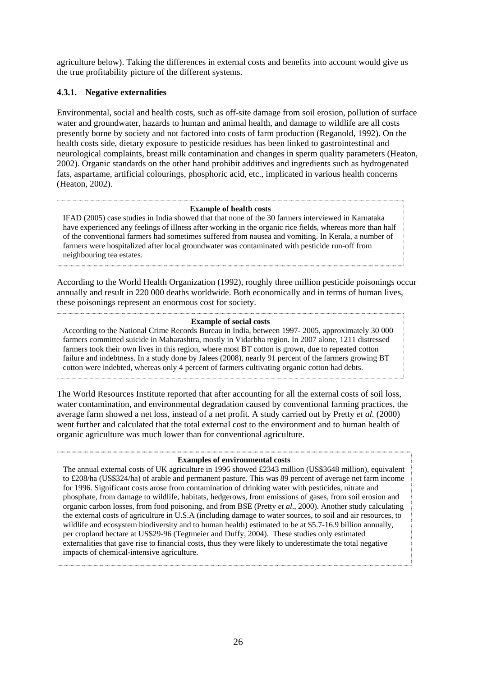agriculture below). Taking the differences in external costs and benefits into account would give us the true profitability picture of the different systems.

#### **4.3.1. Negative externalities**

Environmental, social and health costs, such as off-site damage from soil erosion, pollution of surface water and groundwater, hazards to human and animal health, and damage to wildlife are all costs presently borne by society and not factored into costs of farm production (Reganold, 1992). On the health costs side, dietary exposure to pesticide residues has been linked to gastrointestinal and neurological complaints, breast milk contamination and changes in sperm quality parameters (Heaton, 2002). Organic standards on the other hand prohibit additives and ingredients such as hydrogenated fats, aspartame, artificial colourings, phosphoric acid, etc., implicated in various health concerns (Heaton, 2002).

#### **Example of health costs**

IFAD (2005) case studies in India showed that that none of the 30 farmers interviewed in Karnataka have experienced any feelings of illness after working in the organic rice fields, whereas more than half of the conventional farmers had sometimes suffered from nausea and vomiting. In Kerala, a number of farmers were hospitalized after local groundwater was contaminated with pesticide run-off from neighbouring tea estates.

According to the World Health Organization (1992), roughly three million pesticide poisonings occur annually and result in 220 000 deaths worldwide. Both economically and in terms of human lives, these poisonings represent an enormous cost for society.

#### **Example of social costs**

According to the National Crime Records Bureau in India, between 1997- 2005, approximately 30 000 farmers committed suicide in Maharashtra, mostly in Vidarbha region. In 2007 alone, 1211 distressed farmers took their own lives in this region, where most BT cotton is grown, due to repeated cotton failure and indebtness. In a study done by Jalees (2008), nearly 91 percent of the farmers growing BT cotton were indebted, whereas only 4 percent of farmers cultivating organic cotton had debts.

The World Resources Institute reported that after accounting for all the external costs of soil loss, water contamination, and environmental degradation caused by conventional farming practices, the average farm showed a net loss, instead of a net profit. A study carried out by Pretty *et al.* (2000) went further and calculated that the total external cost to the environment and to human health of organic agriculture was much lower than for conventional agriculture.

#### **Examples of environmental costs**

The annual external costs of UK agriculture in 1996 showed £2343 million (US\$3648 million), equivalent to £208/ha (US\$324/ha) of arable and permanent pasture. This was 89 percent of average net farm income for 1996. Significant costs arose from contamination of drinking water with pesticides, nitrate and phosphate, from damage to wildlife, habitats, hedgerows, from emissions of gases, from soil erosion and organic carbon losses, from food poisoning, and from BSE (Pretty *et al*., 2000). Another study calculating the external costs of agriculture in U.S.A (including damage to water sources, to soil and air resources, to wildlife and ecosystem biodiversity and to human health) estimated to be at \$5.7-16.9 billion annually, per cropland hectare at US\$29-96 (Tegtmeier and Duffy, 2004). These studies only estimated externalities that gave rise to financial costs, thus they were likely to underestimate the total negative impacts of chemical-intensive agriculture.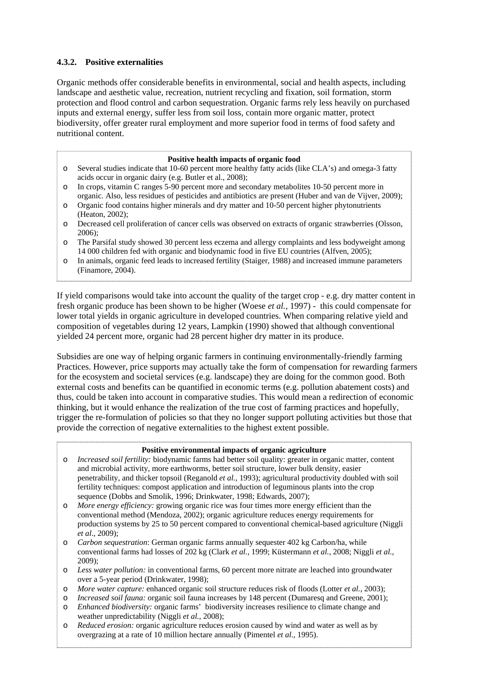# **4.3.2. Positive externalities**

Organic methods offer considerable benefits in environmental, social and health aspects, including landscape and aesthetic value, recreation, nutrient recycling and fixation, soil formation, storm protection and flood control and carbon sequestration. Organic farms rely less heavily on purchased inputs and external energy, suffer less from soil loss, contain more organic matter, protect biodiversity, offer greater rural employment and more superior food in terms of food safety and nutritional content.

#### **Positive health impacts of organic food**

- o Several studies indicate that 10-60 percent more healthy fatty acids (like CLA's) and omega-3 fatty acids occur in organic dairy (e.g. Butler et al., 2008);
- o In crops, vitamin C ranges 5-90 percent more and secondary metabolites 10-50 percent more in organic. Also, less residues of pesticides and antibiotics are present (Huber and van de Vijver, 2009);
- o Organic food contains higher minerals and dry matter and 10-50 percent higher phytonutrients (Heaton, 2002);
- o Decreased cell proliferation of cancer cells was observed on extracts of organic strawberries (Olsson, 2006);
- o The Parsifal study showed 30 percent less eczema and allergy complaints and less bodyweight among 14 000 children fed with organic and biodynamic food in five EU countries (Alfven, 2005);
- o In animals, organic feed leads to increased fertility (Staiger, 1988) and increased immune parameters (Finamore, 2004).

If yield comparisons would take into account the quality of the target crop - e.g. dry matter content in fresh organic produce has been shown to be higher (Woese *et al.,* 1997) - this could compensate for lower total yields in organic agriculture in developed countries. When comparing relative yield and composition of vegetables during 12 years, Lampkin (1990) showed that although conventional yielded 24 percent more, organic had 28 percent higher dry matter in its produce.

Subsidies are one way of helping organic farmers in continuing environmentally-friendly farming Practices. However, price supports may actually take the form of compensation for rewarding farmers for the ecosystem and societal services (e.g. landscape) they are doing for the common good. Both external costs and benefits can be quantified in economic terms (e.g. pollution abatement costs) and thus, could be taken into account in comparative studies. This would mean a redirection of economic thinking, but it would enhance the realization of the true cost of farming practices and hopefully, trigger the re-formulation of policies so that they no longer support polluting activities but those that provide the correction of negative externalities to the highest extent possible.

#### **Positive environmental impacts of organic agriculture**

- o *Increased soil fertility:* biodynamic farms had better soil quality: greater in organic matter, content and microbial activity, more earthworms, better soil structure, lower bulk density, easier penetrability, and thicker topsoil (Reganold *et al.,* 1993); agricultural productivity doubled with soil fertility techniques: compost application and introduction of leguminous plants into the crop sequence (Dobbs and Smolik, 1996; Drinkwater, 1998; Edwards, 2007);
- o *More energy efficiency:* growing organic rice was four times more energy efficient than the conventional method (Mendoza, 2002); organic agriculture reduces energy requirements for production systems by 25 to 50 percent compared to conventional chemical-based agriculture (Niggli *et al*., 2009);
- o *Carbon sequestration*: German organic farms annually sequester 402 kg Carbon/ha, while conventional farms had losses of 202 kg (Clark *et al.,* 1999; Küstermann *et al.*, 2008; Niggli *et al.*, 2009);
- o *Less water pollution:* in conventional farms, 60 percent more nitrate are leached into groundwater over a 5-year period (Drinkwater, 1998);
- o *More water capture:* enhanced organic soil structure reduces risk of floods (Lotter *et al.*, 2003);
- o *Increased soil fauna:* organic soil fauna increases by 148 percent (Dumaresq and Greene, 2001);
- o *Enhanced biodiversity:* organic farms' biodiversity increases resilience to climate change and weather unpredictability (Niggli *et al.*, 2008);
- $\overline{a}$ Reduced erosion: organic agriculture reduces erosion caused by wind and water as well as by overgrazing at a rate of 10 million hectare annually (Pimentel *et al.*, 1995).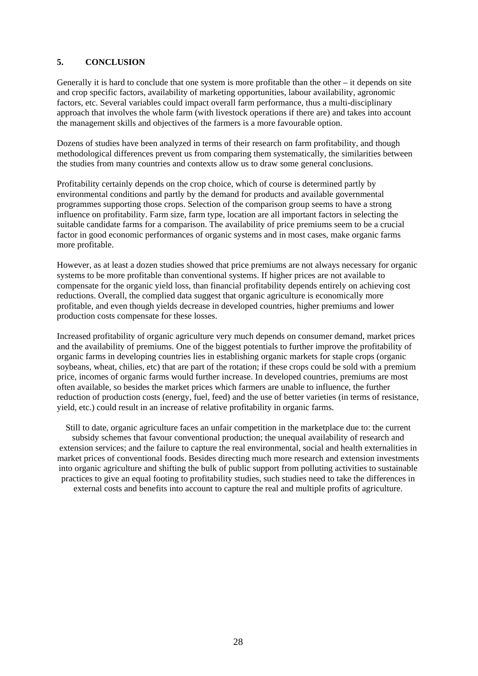# **5. CONCLUSION**

Generally it is hard to conclude that one system is more profitable than the other – it depends on site and crop specific factors, availability of marketing opportunities, labour availability, agronomic factors, etc. Several variables could impact overall farm performance, thus a multi-disciplinary approach that involves the whole farm (with livestock operations if there are) and takes into account the management skills and objectives of the farmers is a more favourable option.

Dozens of studies have been analyzed in terms of their research on farm profitability, and though methodological differences prevent us from comparing them systematically, the similarities between the studies from many countries and contexts allow us to draw some general conclusions.

Profitability certainly depends on the crop choice, which of course is determined partly by environmental conditions and partly by the demand for products and available governmental programmes supporting those crops. Selection of the comparison group seems to have a strong influence on profitability. Farm size, farm type, location are all important factors in selecting the suitable candidate farms for a comparison. The availability of price premiums seem to be a crucial factor in good economic performances of organic systems and in most cases, make organic farms more profitable.

However, as at least a dozen studies showed that price premiums are not always necessary for organic systems to be more profitable than conventional systems. If higher prices are not available to compensate for the organic yield loss, than financial profitability depends entirely on achieving cost reductions. Overall, the complied data suggest that organic agriculture is economically more profitable, and even though yields decrease in developed countries, higher premiums and lower production costs compensate for these losses.

Increased profitability of organic agriculture very much depends on consumer demand, market prices and the availability of premiums. One of the biggest potentials to further improve the profitability of organic farms in developing countries lies in establishing organic markets for staple crops (organic soybeans, wheat, chilies, etc) that are part of the rotation; if these crops could be sold with a premium price, incomes of organic farms would further increase. In developed countries, premiums are most often available, so besides the market prices which farmers are unable to influence, the further reduction of production costs (energy, fuel, feed) and the use of better varieties (in terms of resistance, yield, etc.) could result in an increase of relative profitability in organic farms.

Still to date, organic agriculture faces an unfair competition in the marketplace due to: the current subsidy schemes that favour conventional production; the unequal availability of research and extension services; and the failure to capture the real environmental, social and health externalities in market prices of conventional foods. Besides directing much more research and extension investments into organic agriculture and shifting the bulk of public support from polluting activities to sustainable practices to give an equal footing to profitability studies, such studies need to take the differences in external costs and benefits into account to capture the real and multiple profits of agriculture.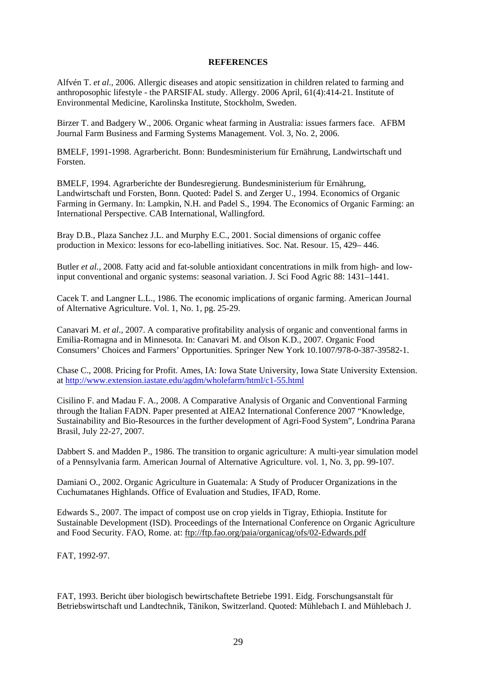#### **REFERENCES**

Alfvén T. *et al*., 2006. Allergic diseases and atopic sensitization in children related to farming and anthroposophic lifestyle - the PARSIFAL study. Allergy. 2006 April, 61(4):414-21. Institute of Environmental Medicine, Karolinska Institute, Stockholm, Sweden.

Birzer T. and Badgery W., 2006. Organic wheat farming in Australia: issues farmers face. AFBM Journal Farm Business and Farming Systems Management. Vol. 3, No. 2, 2006.

BMELF, 1991-1998. Agrarbericht. Bonn: Bundesministerium für Ernährung, Landwirtschaft und Forsten.

BMELF, 1994. Agrarberichte der Bundesregierung. Bundesministerium für Ernährung, Landwirtschaft und Forsten, Bonn. Quoted: Padel S. and Zerger U., 1994. Economics of Organic Farming in Germany. In: Lampkin, N.H. and Padel S., 1994. The Economics of Organic Farming: an International Perspective. CAB International, Wallingford.

Bray D.B., Plaza Sanchez J.L. and Murphy E.C., 2001. Social dimensions of organic coffee production in Mexico: lessons for eco-labelling initiatives. Soc. Nat. Resour. 15, 429– 446.

Butler *et al.,* 2008. Fatty acid and fat-soluble antioxidant concentrations in milk from high- and lowinput conventional and organic systems: seasonal variation. J. Sci Food Agric 88: 1431–1441.

Cacek T. and Langner L.L., 1986. The economic implications of organic farming. American Journal of Alternative Agriculture. Vol. 1, No. 1, pg. 25-29.

Canavari M. *et al*., 2007. A comparative profitability analysis of organic and conventional farms in Emilia-Romagna and in Minnesota. In: Canavari M. and Olson K.D., 2007. Organic Food Consumers' Choices and Farmers' Opportunities. Springer New York 10.1007/978-0-387-39582-1.

Chase C., 2008. Pricing for Profit. Ames, IA: Iowa State University, Iowa State University Extension. at <http://www.extension.iastate.edu/agdm/wholefarm/html/c1-55.html>

Cisilino F. and Madau F. A., 2008. A Comparative Analysis of Organic and Conventional Farming through the Italian FADN. Paper presented at AIEA2 International Conference 2007 "Knowledge, Sustainability and Bio-Resources in the further development of Agri-Food System", Londrina Parana Brasil, July 22-27, 2007.

Dabbert S. and Madden P., 1986. The transition to organic agriculture: A multi-year simulation model of a Pennsylvania farm. American Journal of Alternative Agriculture. vol. 1, No. 3, pp. 99-107.

Damiani O., 2002. Organic Agriculture in Guatemala: A Study of Producer Organizations in the Cuchumatanes Highlands. Office of Evaluation and Studies, IFAD, Rome.

Edwards S., 2007. The impact of compost use on crop yields in Tigray, Ethiopia. Institute for Sustainable Development (ISD). Proceedings of the International Conference on Organic Agriculture and Food Security. FAO, Rome. at:<ftp://ftp.fao.org/paia/organicag/ofs/02-Edwards.pdf>

FAT, 1992-97.

FAT, 1993. Bericht über biologisch bewirtschaftete Betriebe 1991. Eidg. Forschungsanstalt für Betriebswirtschaft und Landtechnik, Tänikon, Switzerland. Quoted: Mühlebach I. and Mühlebach J.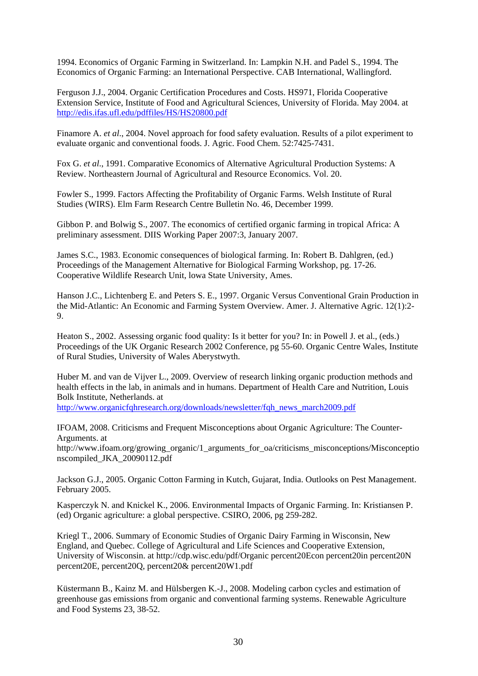1994. Economics of Organic Farming in Switzerland. In: Lampkin N.H. and Padel S., 1994. The Economics of Organic Farming: an International Perspective. CAB International, Wallingford.

Ferguson J.J., 2004. Organic Certification Procedures and Costs. HS971, Florida Cooperative Extension Service, Institute of Food and Agricultural Sciences, University of Florida. May 2004. at <http://edis.ifas.ufl.edu/pdffiles/HS/HS20800.pdf>

Finamore A. *et al*., 2004. Novel approach for food safety evaluation. Results of a pilot experiment to evaluate organic and conventional foods. J. Agric. Food Chem. 52:7425-7431.

Fox G. *et al*., 1991. Comparative Economics of Alternative Agricultural Production Systems: A Review. Northeastern Journal of Agricultural and Resource Economics. Vol. 20.

Fowler S., 1999. Factors Affecting the Profitability of Organic Farms. Welsh Institute of Rural Studies (WIRS). Elm Farm Research Centre Bulletin No. 46, December 1999.

Gibbon P. and Bolwig S., 2007. The economics of certified organic farming in tropical Africa: A preliminary assessment. DIIS Working Paper 2007:3, January 2007.

James S.C., 1983. Economic consequences of biological farming. In: Robert B. Dahlgren, (ed.) Proceedings of the Management Alternative for Biological Farming Workshop, pg. 17-26. Cooperative Wildlife Research Unit, lowa State University, Ames.

Hanson J.C., Lichtenberg E. and Peters S. E., 1997. Organic Versus Conventional Grain Production in the Mid-Atlantic: An Economic and Farming System Overview. Amer. J. Alternative Agric. 12(1):2- 9.

Heaton S., 2002. Assessing organic food quality: Is it better for you? In: in Powell J. et al., (eds.) Proceedings of the UK Organic Research 2002 Conference, pg 55-60. Organic Centre Wales, Institute of Rural Studies, University of Wales Aberystwyth.

Huber M. and van de Vijver L., 2009. Overview of research linking organic production methods and health effects in the lab, in animals and in humans. Department of Health Care and Nutrition, Louis Bolk Institute, Netherlands. at

[http://www.organicfqhresearch.org/downloads/newsletter/fqh\\_news\\_march2009.pdf](http://www.organicfqhresearch.org/downloads/newsletter/fqh_news_march2009.pdf)

IFOAM, 2008. Criticisms and Frequent Misconceptions about Organic Agriculture: The Counter-Arguments. at

http://www.ifoam.org/growing\_organic/1\_arguments\_for\_oa/criticisms\_misconceptions/Misconceptio nscompiled\_JKA\_20090112.pdf

Jackson G.J., 2005. Organic Cotton Farming in Kutch, Gujarat, India. Outlooks on Pest Management. February 2005.

Kasperczyk N. and Knickel K., 2006. Environmental Impacts of Organic Farming. In: Kristiansen P. (ed) Organic agriculture: a global perspective. CSIRO, 2006, pg 259-282.

Kriegl T., 2006. Summary of Economic Studies of Organic Dairy Farming in Wisconsin, New England, and Quebec. College of Agricultural and Life Sciences and Cooperative Extension, University of Wisconsin. at [http://cdp.wisc.edu/pdf/Organic percent20Econ percent20in percent20N](http://cdp.wisc.edu/pdf/Organic%20Econ%20in%20N%20E,%20Q,%20&%20W1.pdf)  [percent20E, percent20Q, percent20& percent20W1.pdf](http://cdp.wisc.edu/pdf/Organic%20Econ%20in%20N%20E,%20Q,%20&%20W1.pdf) 

Küstermann B., Kainz M. and Hülsbergen K.-J., 2008. Modeling carbon cycles and estimation of greenhouse gas emissions from organic and conventional farming systems. Renewable Agriculture and Food Systems 23, 38-52.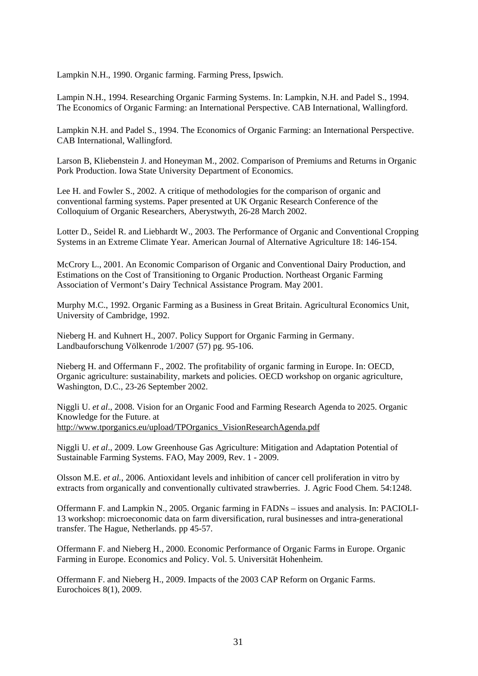Lampkin N.H., 1990. Organic farming. Farming Press, Ipswich.

Lampin N.H., 1994. Researching Organic Farming Systems. In: Lampkin, N.H. and Padel S., 1994. The Economics of Organic Farming: an International Perspective. CAB International, Wallingford.

Lampkin N.H. and Padel S., 1994. The Economics of Organic Farming: an International Perspective. CAB International, Wallingford.

Larson B, Kliebenstein J. and Honeyman M., 2002. Comparison of Premiums and Returns in Organic Pork Production. Iowa State University Department of Economics.

Lee H. and Fowler S., 2002. A critique of methodologies for the comparison of organic and conventional farming systems. Paper presented at UK Organic Research Conference of the Colloquium of Organic Researchers, Aberystwyth, 26-28 March 2002.

Lotter D., Seidel R. and Liebhardt W., 2003. The Performance of Organic and Conventional Cropping Systems in an Extreme Climate Year. American Journal of Alternative Agriculture 18: 146-154.

McCrory L., 2001. An Economic Comparison of Organic and Conventional Dairy Production, and Estimations on the Cost of Transitioning to Organic Production. Northeast Organic Farming Association of Vermont's Dairy Technical Assistance Program. May 2001.

Murphy M.C., 1992. Organic Farming as a Business in Great Britain. Agricultural Economics Unit, University of Cambridge, 1992.

Nieberg H. and Kuhnert H., 2007. Policy Support for Organic Farming in Germany. Landbauforschung Völkenrode 1/2007 (57) pg. 95-106.

Nieberg H. and Offermann F., 2002. The profitability of organic farming in Europe. In: OECD, Organic agriculture: sustainability, markets and policies. OECD workshop on organic agriculture, Washington, D.C., 23-26 September 2002.

Niggli U. *et al*., 2008. Vision for an Organic Food and Farming Research Agenda to 2025. Organic Knowledge for the Future. at [http://www.tporganics.eu/upload/TPOrganics\\_VisionResearchAgenda.pdf](http://www.tporganics.eu/upload/TPOrganics_VisionResearchAgenda.pdf)

Niggli U. *et al*., 2009. Low Greenhouse Gas Agriculture: Mitigation and Adaptation Potential of Sustainable Farming Systems. FAO, May 2009, Rev. 1 - 2009.

Olsson M.E. *et al.,* 2006. Antioxidant levels and inhibition of cancer cell proliferation in vitro by extracts from organically and conventionally cultivated strawberries. J. Agric Food Chem. 54:1248.

Offermann F. and Lampkin N., 2005. Organic farming in FADNs – issues and analysis. In: PACIOLI-13 workshop: microeconomic data on farm diversification, rural businesses and intra-generational transfer. The Hague, Netherlands. pp 45-57.

Offermann F. and Nieberg H., 2000. Economic Performance of Organic Farms in Europe. Organic Farming in Europe. Economics and Policy. Vol. 5. Universität Hohenheim.

Offermann F. and Nieberg H., 2009. Impacts of the 2003 CAP Reform on Organic Farms. Eurochoices 8(1), 2009.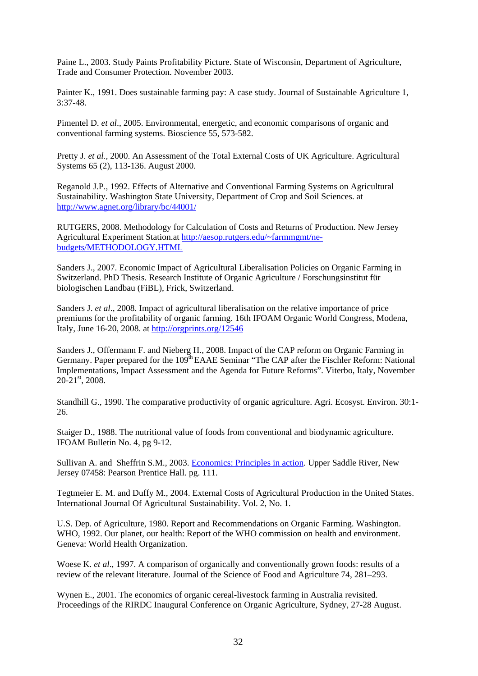Paine L., 2003. Study Paints Profitability Picture. State of Wisconsin, Department of Agriculture, Trade and Consumer Protection. November 2003.

Painter K., 1991. Does sustainable farming pay: A case study. Journal of Sustainable Agriculture 1, 3:37-48.

Pimentel D. *et al*., 2005. Environmental, energetic, and economic comparisons of organic and conventional farming systems. Bioscience 55, 573-582.

Pretty J. *et al.,* 2000. An Assessment of the Total External Costs of UK Agriculture. Agricultural Systems 65 (2), 113-136. August 2000.

Reganold J.P., 1992. Effects of Alternative and Conventional Farming Systems on Agricultural Sustainability. Washington State University, Department of Crop and Soil Sciences. at <http://www.agnet.org/library/bc/44001/>

RUTGERS, 2008. Methodology for Calculation of Costs and Returns of Production. New Jersey Agricultural Experiment Station.at [http://aesop.rutgers.edu/~farmmgmt/ne](http://aesop.rutgers.edu/%7Efarmmgmt/ne-budgets/METHODOLOGY.HTML)[budgets/METHODOLOGY.HTML](http://aesop.rutgers.edu/%7Efarmmgmt/ne-budgets/METHODOLOGY.HTML)

Sanders J., 2007. Economic Impact of Agricultural Liberalisation Policies on Organic Farming in Switzerland. PhD Thesis. Research Institute of Organic Agriculture / Forschungsinstitut für biologischen Landbau (FiBL), Frick, Switzerland.

Sanders J. *et al*., 2008. Impact of agricultural liberalisation on the relative importance of price premiums for the profitability of organic farming. 16th IFOAM Organic World Congress, Modena, Italy, June 16-20, 2008. at <http://orgprints.org/12546>

Sanders J., Offermann F. and Nieberg H., 2008. Impact of the CAP reform on Organic Farming in Germany. Paper prepared for the 109<sup>th</sup> EAAE Seminar "The CAP after the Fischler Reform: National Implementations, Impact Assessment and the Agenda for Future Reforms". Viterbo, Italy, November  $20-21$ <sup>st</sup>, 2008.

Standhill G., 1990. The comparative productivity of organic agriculture. Agri. Ecosyst. Environ. 30:1- 26.

Staiger D., 1988. The nutritional value of foods from conventional and biodynamic agriculture. IFOAM Bulletin No. 4, pg 9-12.

Sullivan A. and Sheffrin S.M., 2003. [Economics: Principles in action.](http://www.pearsonschool.com/index.cfm?locator=PSZ3R9&PMDbSiteId=2781&PMDbSolutionId=6724&PMDbCategoryId=&PMDbProgramId=12881&level=4) Upper Saddle River, New Jersey 07458: Pearson Prentice Hall. pg. 111.

Tegtmeier E. M. and Duffy M., 2004. External Costs of Agricultural Production in the United States. International Journal Of Agricultural Sustainability. Vol. 2, No. 1.

U.S. Dep. of Agriculture, 1980. Report and Recommendations on Organic Farming. Washington. WHO, 1992. Our planet, our health: Report of the WHO commission on health and environment. Geneva: World Health Organization.

Woese K. *et al*., 1997. A comparison of organically and conventionally grown foods: results of a review of the relevant literature. Journal of the Science of Food and Agriculture 74, 281–293.

Wynen E., 2001. The economics of organic cereal-livestock farming in Australia revisited. Proceedings of the RIRDC Inaugural Conference on Organic Agriculture, Sydney, 27-28 August.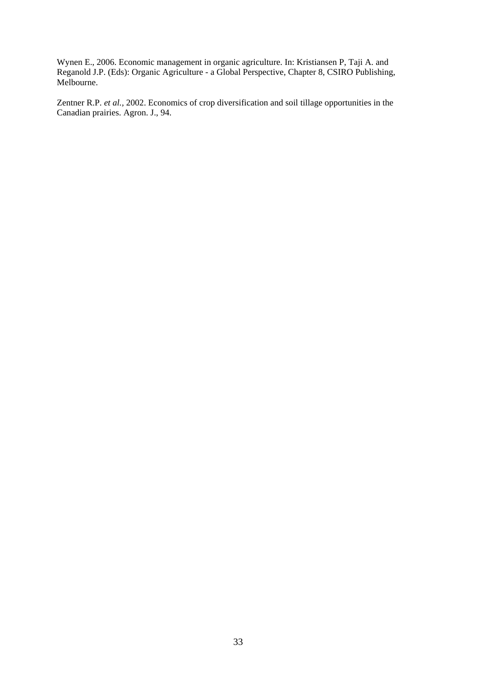Wynen E., 2006. Economic management in organic agriculture. In: Kristiansen P, Taji A. and Reganold J.P. (Eds): Organic Agriculture - a Global Perspective, Chapter 8, CSIRO Publishing, Melbourne.

Zentner R.P. *et al.,* 2002. Economics of crop diversification and soil tillage opportunities in the Canadian prairies. Agron. J., 94.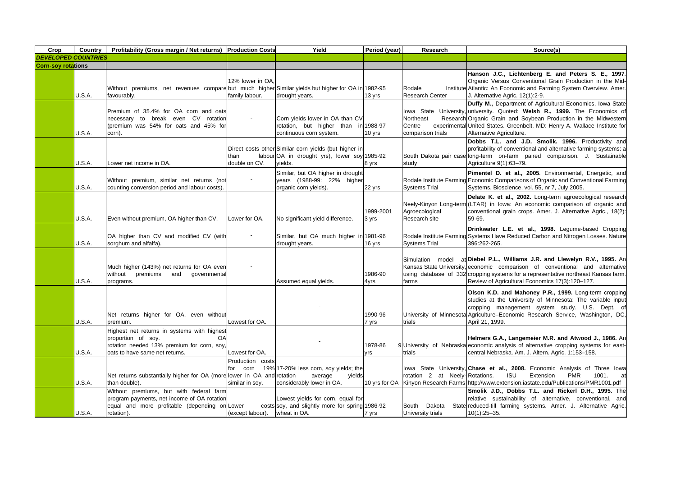| Crop                       | Country       | Profitability (Gross margin / Net returns) Production Costs                                                                                             |                                                 | Yield                                                                                                            | Period (year)      | Research                                 | Source(s)                                                                                                                                                                                                                                                                                                             |
|----------------------------|---------------|---------------------------------------------------------------------------------------------------------------------------------------------------------|-------------------------------------------------|------------------------------------------------------------------------------------------------------------------|--------------------|------------------------------------------|-----------------------------------------------------------------------------------------------------------------------------------------------------------------------------------------------------------------------------------------------------------------------------------------------------------------------|
| <b>DEVELOPED COUNTRIES</b> |               |                                                                                                                                                         |                                                 |                                                                                                                  |                    |                                          |                                                                                                                                                                                                                                                                                                                       |
| <b>Corn-soy rotations</b>  |               |                                                                                                                                                         |                                                 |                                                                                                                  |                    |                                          |                                                                                                                                                                                                                                                                                                                       |
|                            |               | Without premiums, net revenues compare but much higher Similar yields but higher for OA in 1982-95                                                      | 12% lower in OA.                                |                                                                                                                  |                    | Rodale                                   | Hanson J.C., Lichtenberg E. and Peters S. E., 1997.<br>Organic Versus Conventional Grain Production in the Mid-<br>Institute Atlantic: An Economic and Farming System Overview. Amer.                                                                                                                                 |
|                            | U.S.A.        | favourably.                                                                                                                                             | family labour.                                  | drought years.                                                                                                   | 13 yrs             | <b>Research Center</b>                   | J. Alternative Agric. 12(1):2-9.                                                                                                                                                                                                                                                                                      |
|                            | U.S.A.        | Premium of 35.4% for OA corn and oats<br>necessary to break even CV<br>rotation<br>(premium was 54% for oats and 45% for<br>corn).                      |                                                 | Corn yields lower in OA than CV<br>rotation, but higher than in 1988-97<br>continuous corn system.               | 10 yrs             | Northeast<br>Centre<br>comparison trials | Duffy M., Department of Agricultural Economics, Iowa State<br>lowa State University, university. Quoted: Welsh R., 1999. The Economics of<br>Research Organic Grain and Soybean Production in the Midwestern<br>experimental United States. Greenbelt, MD: Henry A. Wallace Institute for<br>Alternative Agriculture. |
|                            | U.S.A.        | Lower net income in OA.                                                                                                                                 | than<br>double on CV.                           | Direct costs other Similar corn yields (but higher in<br>labour OA in drought yrs), lower soy 1985-92<br>vields. | 8 yrs              | study                                    | Dobbs T.L. and J.D. Smolik. 1996. Productivity and<br>profitability of conventional and alternative farming systems: a<br>South Dakota pair case long-term on-farm paired comparison. J. Sustainable<br>Agriculture 9(1):63-79.                                                                                       |
|                            | U.S.A.        | Without premium, similar net returns (not<br>counting conversion period and labour costs).                                                              |                                                 | Similar, but OA higher in drought<br>years (1988-99: 22% higher<br>organic corn yields).                         | 22 yrs             | <b>Systems Trial</b>                     | Pimentel D. et al., 2005. Environmental, Energetic, and<br>Rodale Institute Farming Economic Comparisons of Organic and Conventional Farming<br>Systems. Bioscience, vol. 55, nr 7, July 2005.                                                                                                                        |
|                            | U.S.A.        | Even without premium, OA higher than CV.                                                                                                                | Lower for OA.                                   | No significant yield difference.                                                                                 | 1999-2001<br>3 yrs | Agroecological<br>Research site          | Delate K. et al., 2002. Long-term agroecological research<br>Neely-Kinyon Long-term (LTAR) in Iowa: An economic comparison of organic and<br>conventional grain crops. Amer. J. Alternative Agric., 18(2):<br>59-69.                                                                                                  |
|                            | U.S.A.        | OA higher than CV and modified CV (with<br>sorghum and alfalfa).                                                                                        |                                                 | Similar, but OA much higher in 1981-96<br>drought years.                                                         | 16 yrs             | <b>Systems Trial</b>                     | Drinkwater L.E. et al., 1998. Legume-based Cropping<br>Rodale Institute Farming Systems Have Reduced Carbon and Nitrogen Losses. Nature<br>396:262-265.                                                                                                                                                               |
|                            | <b>U.S.A.</b> | Much higher (143%) net returns for OA even<br>without premiums<br>and<br>qovernmental<br>programs.                                                      |                                                 | Assumed equal yields.                                                                                            | 1986-90<br>4yrs    | Simulation<br>model<br>farms             | at Diebel P.L., Williams J.R. and Llewelyn R.V., 1995. An<br>Kansas State University, economic comparison of conventional and alternative<br>using database of 332 cropping systems for a representative northeast Kansas farm.<br>Review of Agricultural Economics 17(3):120-127.                                    |
|                            | U.S.A.        | Net returns higher for OA, even without<br>premium.                                                                                                     | Lowest for OA.                                  |                                                                                                                  | 1990-96<br>7 yrs   | trials                                   | Olson K.D. and Mahoney P.R., 1999. Long-term cropping<br>studies at the University of Minnesota: The variable input<br>cropping management system study. U.S. Dept. of<br>University of Minnesota Agriculture–Economic Research Service, Washington, DC,<br>April 21, 1999.                                           |
|                            | U.S.A.        | Highest net returns in systems with highest<br>proportion of soy.<br>OA<br>rotation needed 13% premium for corn, soy,<br>oats to have same net returns. | Lowest for OA.                                  |                                                                                                                  | 1978-86<br>yrs     | trials                                   | Helmers G.A., Langemeier M.R. and Atwood J., 1986. An<br>9 University of Nebraska economic analysis of alternative cropping systems for east-<br>central Nebraska. Am. J. Altern. Agric. 1:153-158.                                                                                                                   |
|                            | U.S.A.        | Net returns substantially higher for OA (more lower in OA and rotation<br>than double).                                                                 | Production costs<br>for corn<br>similar in soy. | 19% 17-20% less corn, soy yields; the<br>yields<br>average<br>considerably lower in OA.                          |                    | rotation 2 at Neely-Rotations.           | lowa State University, Chase et al., 2008. Economic Analysis of Three Iowa<br><b>ISU</b><br>Extension<br><b>PMR</b><br>1001.<br>at<br>10 yrs for OA Kinyon Research Farms http://www.extension.iastate.edu/Publications/PMR1001.pdf                                                                                   |
|                            | U.S.A.        | Without premiums, but with federal farm<br>program payments, net income of OA rotation<br>equal and more profitable (depending on Lower<br>rotation).   | (except labour).                                | Lowest yields for corn, equal for<br>costs soy, and slightly more for spring 1986-92<br>wheat in OA.             | 7 yrs              | Dakota<br>South<br>University trials     | Smolik J.D., Dobbs T.L. and Rickerl D.H., 1995. The<br>relative sustainability of alternative, conventional, and<br>State reduced-till farming systems. Amer. J. Alternative Agric.<br>$10(1):25 - 35.$                                                                                                               |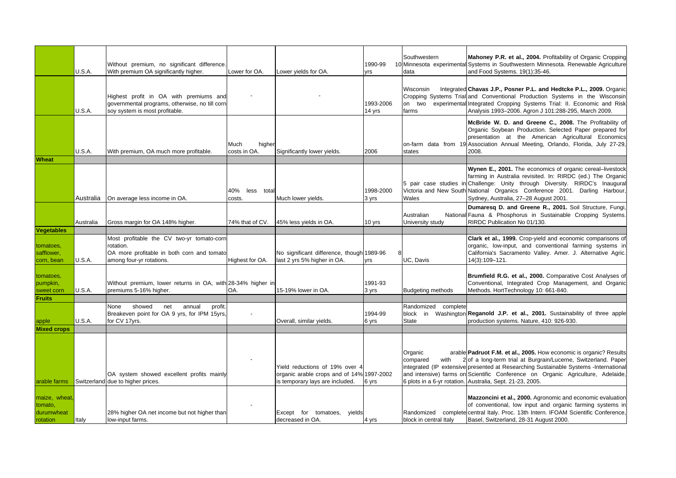|                                                    | U.S.A.    | Without premium, no significant difference<br>With premium OA significantly higher.                                              | Lower for OA.                  | Lower yields for OA.                                                                                           | 1990-99<br>yrs      | Southwestern<br>data                | Mahoney P.R. et al., 2004. Profitability of Organic Cropping<br>10 Minnesota experimental Systems in Southwestern Minnesota. Renewable Agriculture<br>and Food Systems. 19(1):35-46.                                                                                                                                                                                          |
|----------------------------------------------------|-----------|----------------------------------------------------------------------------------------------------------------------------------|--------------------------------|----------------------------------------------------------------------------------------------------------------|---------------------|-------------------------------------|-------------------------------------------------------------------------------------------------------------------------------------------------------------------------------------------------------------------------------------------------------------------------------------------------------------------------------------------------------------------------------|
|                                                    | U.S.A.    | Highest profit in OA with premiums and<br>governmental programs, otherwise, no till corn<br>soy system is most profitable.       |                                |                                                                                                                | 1993-2006<br>14 yrs | Wisconsin<br>on two<br>farms        | Integrated Chavas J.P., Posner P.L. and Hedtcke P.L., 2009. Organic<br>Cropping Systems Trial and Conventional Production Systems in the Wisconsin<br>experimental Integrated Cropping Systems Trial: II. Economic and Risk<br>Analysis 1993-2006. Agron J 101:288-295, March 2009.                                                                                           |
|                                                    | U.S.A.    | With premium, OA much more profitable.                                                                                           | Much<br>higher<br>costs in OA. | Significantly lower yields.                                                                                    | 2006                | states                              | McBride W. D. and Greene C., 2008. The Profitability of<br>Organic Soybean Production. Selected Paper prepared for<br>presentation at the American Agricultural Economics<br>on-farm data from 19 Association Annual Meeting, Orlando, Florida, July 27-29,<br>2008.                                                                                                          |
| <b>Wheat</b>                                       |           |                                                                                                                                  |                                |                                                                                                                |                     |                                     |                                                                                                                                                                                                                                                                                                                                                                               |
|                                                    | Australia | On average less income in OA.                                                                                                    | 40%<br>less<br>total<br>costs. | Much lower yields.                                                                                             | 1998-2000<br>3 yrs  | Wales                               | Wynen E., 2001. The economics of organic cereal-livestock<br>farming in Australia revisited. In: RIRDC (ed.) The Organic<br>5 pair case studies in Challenge: Unity through Diversity. RIRDC's Inaugural<br>Victoria and New South National Organics Conference 2001. Darling Harbour.<br>Sydney, Australia, 27-28 August 2001.                                               |
|                                                    | Australia | Gross margin for OA 148% higher.                                                                                                 | 74% that of CV.                | 45% less yields in OA.                                                                                         | 10 yrs              | Australian<br>University study      | Dumaresq D. and Greene R., 2001. Soil Structure, Fungi,<br>National Fauna & Phosphorus in Sustainable Cropping Systems.<br>RIRDC Publication No 01/130.                                                                                                                                                                                                                       |
| <b>Vegetables</b>                                  |           |                                                                                                                                  |                                |                                                                                                                |                     |                                     |                                                                                                                                                                                                                                                                                                                                                                               |
| tomatoes,<br>safflower,<br>corn, bean              | U.S.A.    | Most profitable the CV two-yr tomato-corn<br>rotation.<br>OA more profitable in both corn and tomato<br>among four-yr rotations. | Highest for OA.                | No significant difference, though 1989-96<br>last 2 yrs 5% higher in OA.                                       | yrs                 | UC, Davis                           | Clark et al., 1999. Crop-yield and economic comparisons of<br>organic, low-input, and conventional farming systems in<br>California's Sacramento Valley. Amer. J. Alternative Agric.<br>14(3):109-121.                                                                                                                                                                        |
| tomatoes,<br>pumpkin,<br>sweet corn                | U.S.A.    | Without premium, lower returns in OA, with 28-34% higher in<br>premiums 5-16% higher.                                            | OA.                            | 15-19% lower in OA.                                                                                            | 1991-93<br>3 yrs    | <b>Budgeting methods</b>            | Brumfield R.G. et al., 2000. Comparative Cost Analyses of<br>Conventional, Integrated Crop Management, and Organic<br>Methods. HortTechnology 10: 661-840.                                                                                                                                                                                                                    |
| <b>Fruits</b>                                      |           |                                                                                                                                  |                                |                                                                                                                |                     |                                     |                                                                                                                                                                                                                                                                                                                                                                               |
| apple                                              | U.S.A.    | showed<br>annual<br>profit.<br>None<br>net<br>Breakeven point for OA 9 yrs, for IPM 15yrs,<br>for CV 17yrs.                      |                                | Overall, similar yields.                                                                                       | 1994-99<br>6 yrs    | Randomized complete<br><b>State</b> | block in Washington Reganold J.P. et al., 2001. Sustainability of three apple<br>production systems. Nature, 410: 926-930.                                                                                                                                                                                                                                                    |
| <b>Mixed crops</b>                                 |           |                                                                                                                                  |                                |                                                                                                                |                     |                                     |                                                                                                                                                                                                                                                                                                                                                                               |
| arable farms                                       |           | OA system showed excellent profits mainly<br>Switzerland due to higher prices.                                                   |                                | Yield reductions of 19% over 4<br>organic arable crops and of 14% 1997-2002<br>is temporary lays are included. | 6 yrs               | Organic<br>compared<br>with         | arable Padruot F.M. et al., 2005. How economic is organic? Results<br>2 of a long-term trial at Burgrain/Lucerne, Switzerland. Paper<br>integrated (IP extensive presented at Researching Sustainable Systems - International<br>and intensive) farms on Scientific Conference on Organic Agriculture, Adelaide,<br>6 plots in a 6-yr rotation. Australia, Sept. 21-23, 2005. |
| maize, wheat,<br>tomato,<br>durumwheat<br>rotation | Italy     | 28% higher OA net income but not higher than<br>low-input farms.                                                                 |                                | Except for tomatoes, yields<br>decreased in OA.                                                                | 4 yrs               | block in central Italy              | Mazzoncini et al., 2000. Agronomic and economic evaluation<br>of conventional, low input and organic farming systems in<br>Randomized complete central Italy. Proc. 13th Intern. IFOAM Scientific Conference,<br>Basel, Switzerland, 28-31 August 2000.                                                                                                                       |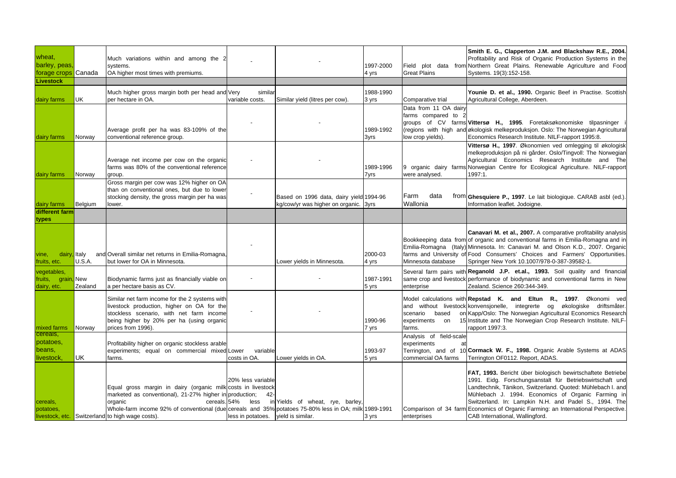| wheat,<br>barley, peas<br>forage crops Canada |                | Much variations within and among the 2<br>systems.<br>OA higher most times with premiums.                                                                                                                                                                                                       |                                                                            |                                                                                  | 1997-2000<br>4 yrs | Field<br><b>Great Plains</b>                                    | Smith E. G., Clapperton J.M. and Blackshaw R.E., 2004.<br>Profitability and Risk of Organic Production Systems in the<br>plot data from Northern Great Plains. Renewable Agriculture and Food<br>Systems. 19(3):152-158.                                                                                                                                                                                                      |
|-----------------------------------------------|----------------|-------------------------------------------------------------------------------------------------------------------------------------------------------------------------------------------------------------------------------------------------------------------------------------------------|----------------------------------------------------------------------------|----------------------------------------------------------------------------------|--------------------|-----------------------------------------------------------------|-------------------------------------------------------------------------------------------------------------------------------------------------------------------------------------------------------------------------------------------------------------------------------------------------------------------------------------------------------------------------------------------------------------------------------|
| <b>Livestock</b>                              |                |                                                                                                                                                                                                                                                                                                 |                                                                            |                                                                                  |                    |                                                                 |                                                                                                                                                                                                                                                                                                                                                                                                                               |
| dairy farms                                   | UK             | Much higher gross margin both per head and Very<br>per hectare in OA.                                                                                                                                                                                                                           | similar<br>variable costs.                                                 | Similar yield (litres per cow).                                                  | 1988-1990<br>3 yrs | Comparative trial                                               | Younie D. et al., 1990. Organic Beef in Practise. Scottish<br>Agricultural College, Aberdeen.                                                                                                                                                                                                                                                                                                                                 |
| dairy farms                                   | Norway         | Average profit per ha was 83-109% of the<br>conventional reference group.                                                                                                                                                                                                                       |                                                                            |                                                                                  | 1989-1992<br>3yrs  | Data from 11 OA dairy<br>farms compared to<br>low crop yields). | groups of CV farms Vittersø H., 1995. Foretaksøkonomiske tilpasninger<br>(regions with high and økologisk melkeproduksjon. Oslo: The Norwegian Agricultural<br>Economics Research Institute. NILF-rapport 1995:8.                                                                                                                                                                                                             |
| dairy farms                                   | Norway         | Average net income per cow on the organic<br>farms was 80% of the conventional reference<br>group.                                                                                                                                                                                              |                                                                            |                                                                                  | 1989-1996<br>7yrs  | were analysed.                                                  | Vittersø H., 1997. Økonomien ved omlegging til økologisk<br>melkeproduksjon på ni gårder. Oslo/Tingvoll: The Norwegian<br>Agricultural Economics Research Institute and The<br>9 organic dairy farms Norwegian Centre for Ecological Agriculture. NILF-rapport<br>1997:1.                                                                                                                                                     |
| dairy farms                                   | Belgium        | Gross margin per cow was 12% higher on OA<br>than on conventional ones, but due to lower<br>stocking density, the gross margin per ha was<br>lower.                                                                                                                                             |                                                                            | Based on 1996 data, dairy yield 1994-96<br>kg/cow/yr was higher on organic. 3yrs |                    | Farm<br>data<br>Wallonia                                        | from Ghesquiere P., 1997. Le lait biologique. CARAB asbl (ed.).<br>Information leaflet. Jodoigne.                                                                                                                                                                                                                                                                                                                             |
| different farm                                |                |                                                                                                                                                                                                                                                                                                 |                                                                            |                                                                                  |                    |                                                                 |                                                                                                                                                                                                                                                                                                                                                                                                                               |
| types                                         |                |                                                                                                                                                                                                                                                                                                 |                                                                            |                                                                                  |                    |                                                                 |                                                                                                                                                                                                                                                                                                                                                                                                                               |
| dairy, Italy<br>vine,<br>fruits, etc.         | U.S.A.         | and Overall similar net returns in Emilia-Romagna,<br>but lower for OA in Minnesota.                                                                                                                                                                                                            |                                                                            | Lower yields in Minnesota.                                                       | 2000-03<br>4 yrs   | Minnesota database                                              | Canavari M. et al., 2007. A comparative profitability analysis<br>Bookkeeping data from of organic and conventional farms in Emilia-Romagna and in<br>Emilia-Romagna (Italy) Minnesota. In: Canavari M. and Olson K.D., 2007. Organic<br>farms and University of Food Consumers' Choices and Farmers' Opportunities.<br>Springer New York 10.1007/978-0-387-39582-1.                                                          |
| vegetables,<br>fruits, grain<br>dairy, etc.   | New<br>Zealand | Biodynamic farms just as financially viable on<br>a per hectare basis as CV.                                                                                                                                                                                                                    |                                                                            |                                                                                  | 1987-1991<br>5 yrs | enterprise                                                      | Several farm pairs with Reganold J.P. et.al., 1993. Soil quality and financial<br>same crop and livestock performance of biodynamic and conventional farms in New<br>Zealand. Science 260:344-349.                                                                                                                                                                                                                            |
| mixed farms                                   | Norway         | Similar net farm income for the 2 systems with<br>livestock production, higher on OA for the<br>stockless scenario, with net farm income<br>being higher by 20% per ha (using organic<br>prices from 1996).                                                                                     |                                                                            |                                                                                  | 1990-96<br>7 yrs   | scenario<br>based<br>experiments<br>on<br>farms.                | Model calculations with Repstad K. and Eltun R., 1997. Økonomi ved<br>and without livestock konvensjonelle, integrerte og økologiske driftsmåter.<br>on Kapp/Oslo: The Norwegian Agricultural Economics Research<br>15 Institute and The Norwegian Crop Research Institute. NILF-<br>rapport 1997:3.                                                                                                                          |
| cereals,<br>potatoes,<br>beans,<br>livestock, | UK             | Profitability higher on organic stockless arable<br>experiments; equal on commercial mixed Lower<br>farms.                                                                                                                                                                                      | variable<br>costs in OA.                                                   | Lower yields in OA.                                                              | 1993-97<br>5 yrs   | Analysis of field-scale<br>experiments<br>commercial OA farms   | Terrington, and of 10 Cormack W. F., 1998. Organic Arable Systems at ADAS<br>Terrington OF0112. Report, ADAS.                                                                                                                                                                                                                                                                                                                 |
| cereals,<br>potatoes,<br>livestock, etc.      |                | Equal gross margin in dairy (organic milk costs in livestock<br>marketed as conventional), 21-27% higher in production;<br>cereals. 54%<br>organic<br>Whole-farm income 92% of conventional (due cereals and 35% potatoes 75-80% less in OA; milk 1989-1991<br>Switzerland to high wage costs). | 20% less variable<br>$42 -$<br>less<br>less in potatoes. vield is similar. | in Yields of wheat, rye, barley,                                                 | 3 yrs              | enterprises                                                     | FAT, 1993. Bericht über biologisch bewirtschaftete Betriebe<br>1991. Eidg. Forschungsanstalt für Betriebswirtschaft und<br>Landtechnik, Tänikon, Switzerland. Quoted: Mühlebach I. and<br>Mühlebach J. 1994. Economics of Organic Farming in<br>Switzerland. In: Lampkin N.H. and Padel S., 1994. The<br>Comparison of 34 farm Economics of Organic Farming: an International Perspective.<br>CAB International, Wallingford. |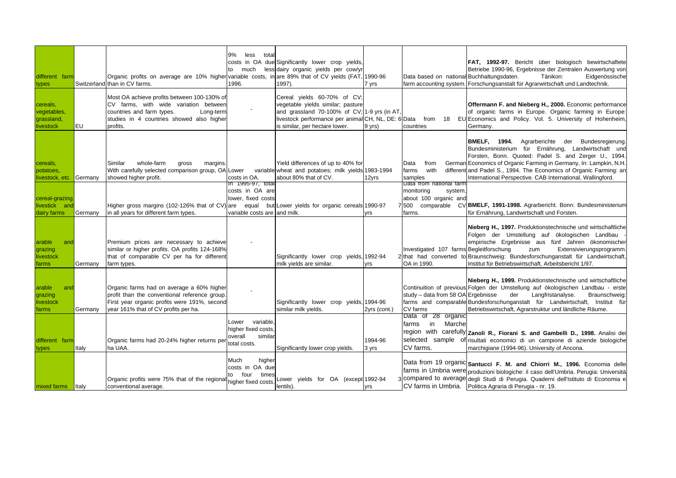| different farm<br>types                            |         | Organic profits on average are 10% higher variable costs, in are 89% that of CV yields (FAT, 1990-96<br>Switzerland than in CV farms.                                                   | 9%<br>less<br>total<br>to much<br>1996.                                         | costs in OA due Significantly lower crop yields,<br>less dairy organic vields per cow/yr<br>1997).                                                                                                       | 7 yrs            | Data based on national Buchhaltungsdaten.                                                   | <b>FAT, 1992-97.</b> Bericht über biologisch bewirtschaftete<br>Betriebe 1990-96, Ergebnisse der Zentralen Auswertung von<br>Tänikon:<br>Eidgenössische<br>farm accounting system. Forschungsanstalt für Agrarwirtschaft und Landtechnik.                                                                                                                                            |
|----------------------------------------------------|---------|-----------------------------------------------------------------------------------------------------------------------------------------------------------------------------------------|---------------------------------------------------------------------------------|----------------------------------------------------------------------------------------------------------------------------------------------------------------------------------------------------------|------------------|---------------------------------------------------------------------------------------------|--------------------------------------------------------------------------------------------------------------------------------------------------------------------------------------------------------------------------------------------------------------------------------------------------------------------------------------------------------------------------------------|
| cereals,<br>vegetables,<br>grassland,<br>livestock | EU      | Most OA achieve profits between 100-130% of<br>CV farms, with wide variation between<br>countries and farm types.<br>Long-term<br>studies in 4 countries showed also higher<br>profits. |                                                                                 | Cereal yields 60-70% of CV;<br>vegetable yields similar; pasture<br>and grassland 70-100% of CV; 1-9 yrs (in AT<br>livestock performance per animal CH, NL, DE: 6 Data<br>is similar, per hectare lower. | 9 yrs)           | from 18<br>countries                                                                        | Offermann F. and Nieberg H., 2000. Economic performance<br>of organic farms in Europe. Organic farming in Europe:<br>EU Economics and Policy. Vol. 5. University of Hohenheim,<br>Germany.                                                                                                                                                                                           |
| cereals,<br>potatoes,<br>livestock, etc.           | Germany | whole-farm<br>Similar<br>margins.<br>gross<br>With carefully selected comparison group, OA Lower<br>showed higher profit.                                                               | costs in OA.<br>in 1995-97, total<br>costs in OA are                            | Yield differences of up to 40% for<br>variable wheat and potatoes; milk yields 1983-1994<br>about 80% that of CV.                                                                                        | 12yrs            | Data<br>from<br>farms<br>with<br>samples<br>Data from national farm<br>monitoring<br>system | <b>BMELF, 1994.</b><br>Agrarberichte der<br>Bundesregierung.<br>Bundesministerium für Ernährung, Landwirtschaft und<br>Forsten, Bonn. Quoted: Padel S. and Zerger U., 1994.<br>German Economics of Organic Farming in Germany, In: Lampkin, N.H.<br>different and Padel S., 1994. The Economics of Organic Farming: an<br>International Perspective. CAB International, Wallingford. |
| cereal-grazing<br>livestick and<br>dairy farms     | Germany | Higher gross margins (102-126% that of CV) are<br>in all years for different farm types.                                                                                                | lower, fixed costs<br>variable costs are and milk.                              | equal but Lower yields for organic cereals 1990-97                                                                                                                                                       | yrs              | about 100 organic and<br>7 500<br>farms.                                                    | comparable CV BMELF, 1991-1998. Agrarbericht. Bonn: Bundesministerium<br>für Ernährung, Landwirtschaft und Forsten.                                                                                                                                                                                                                                                                  |
| arable<br>and<br>grazing<br>livestock<br>farms     | Germany | Premium prices are necessary to achieve<br>similar or higher profits. OA profits 124-168%<br>that of comparable CV per ha for different<br>farm types.                                  |                                                                                 | Significantly lower crop yields, 1992-94<br>milk yields are similar.                                                                                                                                     | yrs              | Investigated 107 farms Begleitforschung<br>OA in 1990.                                      | Nieberg H., 1997. Produktionstechnische und wirtschaftliche<br>Folgen der Umstellung auf ökologischen Landbau<br>empirische Ergebnisse aus fünf Jahren ökonomischer<br>Extensivierungsprogramm.<br>zum<br>2 that had converted to Braunschweig: Bundesforschunganstalt für Landwirtschaft,<br>Institut für Betriebswirtschaft, Arbeitsbericht 1/97.                                  |
| arable<br>and<br>grazing<br>livestock<br>farms     | Germany | Organic farms had on average a 60% higher<br>profit than the conventional reference group<br>First year organic profits were 191%, second<br>year 161% that of CV profits per ha.       |                                                                                 | Significantly lower crop yields, 1994-96<br>similar milk yields.                                                                                                                                         | 2yrs (cont.)     | study - data from 58 OA Ergebnisse<br>CV farms                                              | Nieberg H., 1999. Produktionstechnische und wirtschaftliche<br>Continuition of previous Folgen der Umstellung auf ökologischen Landbau - erste<br>der<br>Langfristanalyse.<br>Braunschweig:<br>farms and comparable Bundesforschunganstalt für Landwirtschaft, Institut für<br>Betriebswirtschaft, Agrarstruktur und ländliche Räume.                                                |
| different farm<br>types                            | Italy   | Organic farms had 20-24% higher returns per<br>ha UAA.                                                                                                                                  | variable<br>_ower<br>higher fixed costs.<br>overall<br>similar<br>total costs.  | Significantly lower crop yields.                                                                                                                                                                         | 1994-96<br>3 yrs | Data of 28 organic<br>$\mathsf{in}$<br>farms<br>Marche<br>CV farms.                         | region with carefully Zanoli R., Fiorani S. and Gambelli D., 1998. Analisi dei<br>selected sample of risultati economici di un campione di aziende biologiche<br>marchigiane (1994-96). University of Ancona.                                                                                                                                                                        |
| mixed farms                                        | Italy   | Organic profits were 75% that of the regional<br>conventional average.                                                                                                                  | Much<br>higher<br>costs in OA due<br>four<br>times<br>to<br>higher fixed costs. | ower yields for OA (except 1992-94<br>lentils).                                                                                                                                                          | <b>Vrs</b>       |                                                                                             | Data from 19 organic Santucci F. M. and Chiorri M., 1996. Economia delle<br>farms in Umbria were produzioni biologiche: il caso dell'Umbria. Perugia: Università<br>compared to average degli Studi di Perugia. Quaderni dell'Istituto di Economia e<br>CV farms in Umbria. Politica Agraria di Perugia - nr. 19.                                                                    |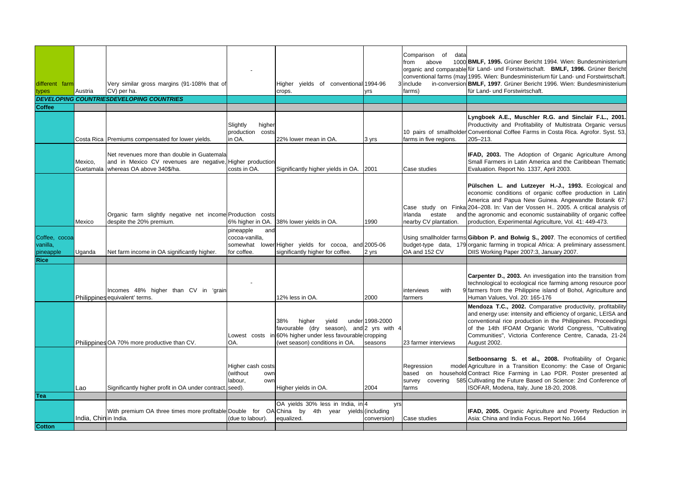| conventional farms (may 1995. Wien: Bundesministerium für Land- und Forstwirtschaft.<br>Very similar gross margins (91-108% that of<br>Higher yields of conventional 1994-96<br>include<br>different farm<br>CV) per ha.<br>farms)<br>types<br>Austria<br>crops.<br>yrs        | in-conversion BMLF, 1997. Grüner Bericht 1996. Wien: Bundesministerium<br>für Land- und Forstwirtschaft.                                                                                                                                                                                                                                                                                    |
|--------------------------------------------------------------------------------------------------------------------------------------------------------------------------------------------------------------------------------------------------------------------------------|---------------------------------------------------------------------------------------------------------------------------------------------------------------------------------------------------------------------------------------------------------------------------------------------------------------------------------------------------------------------------------------------|
| <b>DEVELOPING COUNTRIESDEVELOPING COUNTRIES</b><br><b>Coffee</b>                                                                                                                                                                                                               |                                                                                                                                                                                                                                                                                                                                                                                             |
|                                                                                                                                                                                                                                                                                |                                                                                                                                                                                                                                                                                                                                                                                             |
| Slightly<br>higher<br>production costs<br>Costa Rica Premiums compensated for lower yields.<br>in OA.<br>22% lower mean in OA.<br>farms in five regions.<br>3 yrs                                                                                                              | Lyngboek A.E., Muschler R.G. and Sinclair F.L., 2001.<br>Productivity and Profitability of Multistrata Organic versus<br>10 pairs of smallholder Conventional Coffee Farms in Costa Rica. Agrofor. Syst. 53,<br>205-213.                                                                                                                                                                    |
| Net revenues more than double in Guatemala<br>Mexico.<br>and in Mexico CV revenues are negative, Higher production<br>whereas OA above 340\$/ha.<br>costs in OA.<br>Guetamala<br>Significantly higher yields in OA.<br>2001<br>Case studies                                    | <b>IFAD, 2003.</b> The Adoption of Organic Agriculture Among<br>Small Farmers in Latin America and the Caribbean Thematic<br>Evaluation. Report No. 1337, April 2003.                                                                                                                                                                                                                       |
| Irlanda<br>estate<br>Organic farm slightly negative net income Production costs<br>6% higher in OA.<br>despite the 20% premium.<br>38% lower yields in OA.<br>nearby CV plantation.<br>Mexico<br>1990                                                                          | Pülschen L. and Lutzeyer H.-J., 1993. Ecological and<br>economic conditions of organic coffee production in Latin<br>America and Papua New Guinea. Angewandte Botanik 67:<br>Case study on Finka 204-208. In: Van der Vossen H., 2005. A critical analysis of<br>and the agronomic and economic sustainability of organic coffee<br>production, Experimental Agriculture, Vol. 41: 449-473. |
| pineapple<br>and<br>Coffee, cocoa<br>cocoa-vanilla,<br>vanilla,<br>somewhat<br>lower Higher yields for cocoa, and 2005-06<br>OA and 152 CV<br>pineapple<br>Net farm income in OA significantly higher.<br>for coffee.<br>significantly higher for coffee.<br>2 yrs<br>Uganda   | Using smallholder farms Gibbon P. and Bolwig S., 2007. The economics of certified<br>budget-type data, 179 organic farming in tropical Africa: A preliminary assessment.<br>DIIS Working Paper 2007:3, January 2007.                                                                                                                                                                        |
| <b>Rice</b>                                                                                                                                                                                                                                                                    |                                                                                                                                                                                                                                                                                                                                                                                             |
| Incomes 48% higher than CV in 'grain<br>interviews<br>with<br>Philippines equivalent' terms.<br>12% less in OA.<br>2000<br>farmers                                                                                                                                             | <b>Carpenter D., 2003.</b> An investigation into the transition from<br>technological to ecological rice farming among resource poor<br>9 farmers from the Philippine island of Bohol, Agriculture and<br>Human Values, Vol. 20: 165-176                                                                                                                                                    |
| under 1998-2000<br>38%<br>higher<br>yield<br>favourable (dry season), and 2 yrs with 4<br>Lowest costs in 60% higher under less favourable cropping<br>Philippines OA 70% more productive than CV.<br>OA.<br>(wet season) conditions in OA.<br>seasons<br>23 farmer interviews | Mendoza T.C., 2002. Comparative productivity, profitability<br>and energy use: intensity and efficiency of organic, LEISA and<br>conventional rice production in the Philippines. Proceedings<br>of the 14th IFOAM Organic World Congress, "Cultivating<br>Communities", Victoria Conference Centre, Canada, 21-24<br>August 2002.                                                          |
| Higher cash costs<br>Regression<br>(without<br>based<br>own<br>abour,<br>survey<br>own<br>Significantly higher profit in OA under contract.<br>seed).<br>Higher yields in OA.<br>2004<br>Lao<br>farms                                                                          | Setboonsarng S. et al., 2008. Profitability of Organic<br>model Agriculture in a Transition Economy: the Case of Organic<br>on household Contract Rice Farming in Lao PDR. Poster presented at<br>covering 585 Cultivating the Future Based on Science: 2nd Conference of<br>ISOFAR, Modena, Italy, June 18-20, 2008.                                                                       |
| Tea                                                                                                                                                                                                                                                                            |                                                                                                                                                                                                                                                                                                                                                                                             |
| OA yields 30% less in India, in 4<br>yrs<br>With premium OA three times more profitable Double for OA China by 4th year yields (including<br>India. Chinin India.<br>(due to labour).<br>equalized.<br>conversion)<br>Case studies<br><b>Cotton</b>                            | <b>IFAD, 2005.</b> Organic Agriculture and Poverty Reduction in<br>Asia: China and India Focus, Report No. 1664                                                                                                                                                                                                                                                                             |